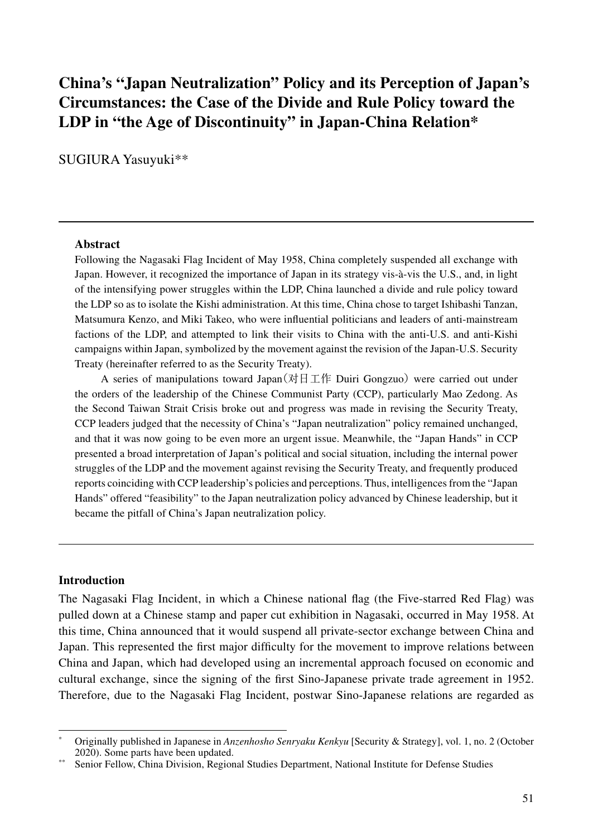# **China's "Japan Neutralization" Policy and its Perception of Japan's Circumstances: the Case of the Divide and Rule Policy toward the LDP in "the Age of Discontinuity" in Japan-China Relation\***

SUGIURA Yasuyuki\*\*

#### **Abstract**

Following the Nagasaki Flag Incident of May 1958, China completely suspended all exchange with Japan. However, it recognized the importance of Japan in its strategy vis-à-vis the U.S., and, in light of the intensifying power struggles within the LDP, China launched a divide and rule policy toward the LDP so as to isolate the Kishi administration. At this time, China chose to target Ishibashi Tanzan, Matsumura Kenzo, and Miki Takeo, who were influential politicians and leaders of anti-mainstream factions of the LDP, and attempted to link their visits to China with the anti-U.S. and anti-Kishi campaigns within Japan, symbolized by the movement against the revision of the Japan-U.S. Security Treaty (hereinafter referred to as the Security Treaty).

A series of manipulations toward Japan(对日工作 Duiri Gongzuo) were carried out under the orders of the leadership of the Chinese Communist Party (CCP), particularly Mao Zedong. As the Second Taiwan Strait Crisis broke out and progress was made in revising the Security Treaty, CCP leaders judged that the necessity of China's "Japan neutralization" policy remained unchanged, and that it was now going to be even more an urgent issue. Meanwhile, the "Japan Hands" in CCP presented a broad interpretation of Japan's political and social situation, including the internal power struggles of the LDP and the movement against revising the Security Treaty, and frequently produced reports coinciding with CCP leadership's policies and perceptions. Thus, intelligences from the "Japan Hands" offered "feasibility" to the Japan neutralization policy advanced by Chinese leadership, but it became the pitfall of China's Japan neutralization policy.

#### **Introduction**

The Nagasaki Flag Incident, in which a Chinese national flag (the Five-starred Red Flag) was pulled down at a Chinese stamp and paper cut exhibition in Nagasaki, occurred in May 1958. At this time, China announced that it would suspend all private-sector exchange between China and Japan. This represented the first major difficulty for the movement to improve relations between China and Japan, which had developed using an incremental approach focused on economic and cultural exchange, since the signing of the first Sino-Japanese private trade agreement in 1952. Therefore, due to the Nagasaki Flag Incident, postwar Sino-Japanese relations are regarded as

<sup>\*</sup> Originally published in Japanese in *Anzenhosho Senryaku Kenkyu* [Security & Strategy], vol. 1, no. 2 (October 2020). Some parts have been updated.

Senior Fellow, China Division, Regional Studies Department, National Institute for Defense Studies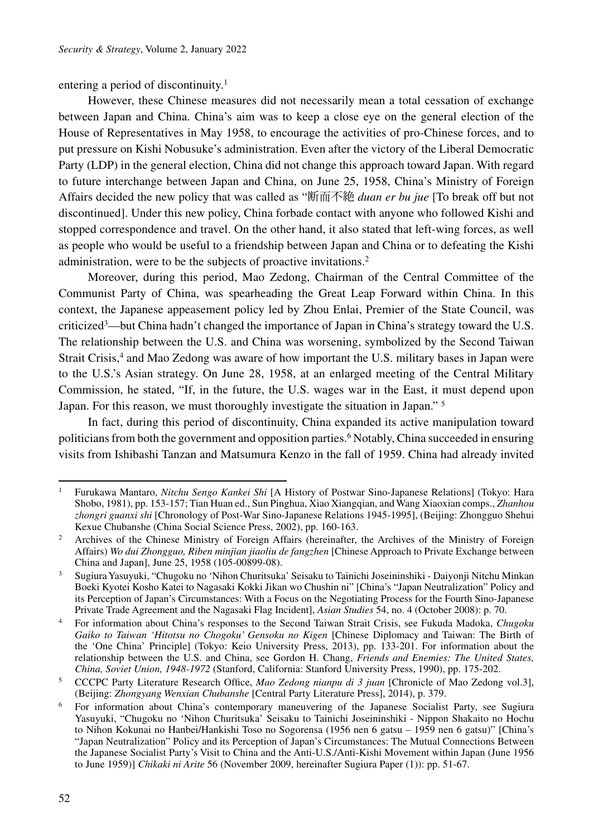entering a period of discontinuity.1

However, these Chinese measures did not necessarily mean a total cessation of exchange between Japan and China. China's aim was to keep a close eye on the general election of the House of Representatives in May 1958, to encourage the activities of pro-Chinese forces, and to put pressure on Kishi Nobusuke's administration. Even after the victory of the Liberal Democratic Party (LDP) in the general election, China did not change this approach toward Japan. With regard to future interchange between Japan and China, on June 25, 1958, China's Ministry of Foreign Affairs decided the new policy that was called as "断而不絶 *duan er bu jue* [To break off but not discontinued]. Under this new policy, China forbade contact with anyone who followed Kishi and stopped correspondence and travel. On the other hand, it also stated that left-wing forces, as well as people who would be useful to a friendship between Japan and China or to defeating the Kishi administration, were to be the subjects of proactive invitations.2

Moreover, during this period, Mao Zedong, Chairman of the Central Committee of the Communist Party of China, was spearheading the Great Leap Forward within China. In this context, the Japanese appeasement policy led by Zhou Enlai, Premier of the State Council, was criticized3—but China hadn't changed the importance of Japan in China's strategy toward the U.S. The relationship between the U.S. and China was worsening, symbolized by the Second Taiwan Strait Crisis,<sup>4</sup> and Mao Zedong was aware of how important the U.S. military bases in Japan were to the U.S.'s Asian strategy. On June 28, 1958, at an enlarged meeting of the Central Military Commission, he stated, "If, in the future, the U.S. wages war in the East, it must depend upon Japan. For this reason, we must thoroughly investigate the situation in Japan." 5

In fact, during this period of discontinuity, China expanded its active manipulation toward politicians from both the government and opposition parties.6 Notably, China succeeded in ensuring visits from Ishibashi Tanzan and Matsumura Kenzo in the fall of 1959. China had already invited

<sup>1</sup> Furukawa Mantaro, *Nitchu Sengo Kankei Shi* [A History of Postwar Sino-Japanese Relations] (Tokyo: Hara Shobo, 1981), pp. 153-157; Tian Huan ed., Sun Pinghua, Xiao Xiangqian, and Wang Xiaoxian comps., *Zhanhou zhongri guanxi shi* [Chronology of Post-War Sino-Japanese Relations 1945-1995], (Beijing: Zhongguo Shehui Kexue Chubanshe (China Social Science Press, 2002), pp. 160-163.

<sup>2</sup> Archives of the Chinese Ministry of Foreign Affairs (hereinafter, the Archives of the Ministry of Foreign Affairs) *Wo dui Zhongguo, Riben minjian jiaoliu de fangzhen* [Chinese Approach to Private Exchange between China and Japan], June 25, 1958 (105-00899-08).

<sup>3</sup> Sugiura Yasuyuki, "Chugoku no 'Nihon Churitsuka' Seisaku to Tainichi Joseininshiki - Daiyonji Nitchu Minkan Boeki Kyotei Kosho Katei to Nagasaki Kokki Jikan wo Chushin ni" [China's "Japan Neutralization" Policy and its Perception of Japan's Circumstances: With a Focus on the Negotiating Process for the Fourth Sino-Japanese Private Trade Agreement and the Nagasaki Flag Incident], *Asian Studies* 54, no. 4 (October 2008): p. 70.

<sup>4</sup> For information about China's responses to the Second Taiwan Strait Crisis, see Fukuda Madoka, *Chugoku*  Gaiko to Taiwan 'Hitotsu no Chogoku' Gensoku no Kigen [Chinese Diplomacy and Taiwan: The Birth of the 'One China' Principle] (Tokyo: Keio University Press, 2013), pp. 133-201. For information about the relationship between the U.S. and China, see Gordon H. Chang, *Friends and Enemies: The United States, China, Soviet Union, 1948-1972* (Stanford, California: Stanford University Press, 1990), pp. 175-202.

<sup>5</sup> CCCPC Party Literature Research Office, *Mao Zedong nianpu di 3 juan* [Chronicle of Mao Zedong vol.3], (Beijing: *Zhongyang Wenxian Chubanshe* [Central Party Literature Press], 2014), p. 379.

<sup>6</sup> For information about China's contemporary maneuvering of the Japanese Socialist Party, see Sugiura Yasuyuki, "Chugoku no 'Nihon Churitsuka' Seisaku to Tainichi Joseininshiki - Nippon Shakaito no Hochu to Nihon Kokunai no Hanbei/Hankishi Toso no Sogorensa (1956 nen 6 gatsu – 1959 nen 6 gatsu)" [China's "Japan Neutralization" Policy and its Perception of Japan's Circumstances: The Mutual Connections Between the Japanese Socialist Party's Visit to China and the Anti-U.S./Anti-Kishi Movement within Japan (June 1956 to June 1959)] *Chikaki ni Arite* 56 (November 2009, hereinafter Sugiura Paper (1)): pp. 51-67.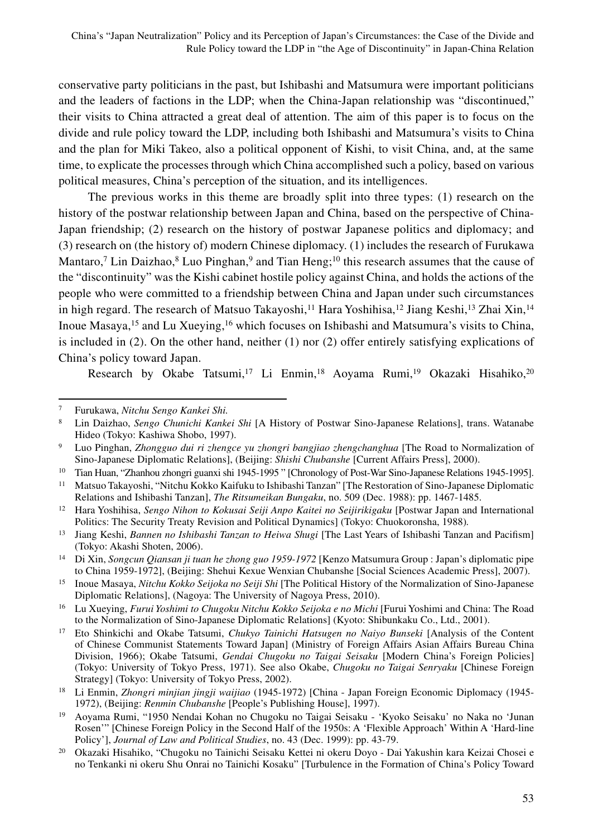conservative party politicians in the past, but Ishibashi and Matsumura were important politicians and the leaders of factions in the LDP; when the China-Japan relationship was "discontinued," their visits to China attracted a great deal of attention. The aim of this paper is to focus on the divide and rule policy toward the LDP, including both Ishibashi and Matsumura's visits to China and the plan for Miki Takeo, also a political opponent of Kishi, to visit China, and, at the same time, to explicate the processes through which China accomplished such a policy, based on various political measures, China's perception of the situation, and its intelligences.

The previous works in this theme are broadly split into three types: (1) research on the history of the postwar relationship between Japan and China, based on the perspective of China-Japan friendship; (2) research on the history of postwar Japanese politics and diplomacy; and (3) research on (the history of) modern Chinese diplomacy. (1) includes the research of Furukawa Mantaro,<sup>7</sup> Lin Daizhao, $8$  Luo Pinghan, $9$  and Tian Heng;<sup>10</sup> this research assumes that the cause of the "discontinuity" was the Kishi cabinet hostile policy against China, and holds the actions of the people who were committed to a friendship between China and Japan under such circumstances in high regard. The research of Matsuo Takayoshi,<sup>11</sup> Hara Yoshihisa,<sup>12</sup> Jiang Keshi,<sup>13</sup> Zhai Xin,<sup>14</sup> Inoue Masaya,15 and Lu Xueying,16 which focuses on Ishibashi and Matsumura's visits to China, is included in (2). On the other hand, neither (1) nor (2) offer entirely satisfying explications of China's policy toward Japan.

Research by Okabe Tatsumi,<sup>17</sup> Li Enmin,<sup>18</sup> Aoyama Rumi,<sup>19</sup> Okazaki Hisahiko,<sup>20</sup>

<sup>7</sup> Furukawa, *Nitchu Sengo Kankei Shi.*

<sup>8</sup> Lin Daizhao, *Sengo Chunichi Kankei Shi* [A History of Postwar Sino-Japanese Relations], trans. Watanabe Hideo (Tokyo: Kashiwa Shobo, 1997).

<sup>9</sup> Luo Pinghan, *Zhongguo dui ri zhengce yu zhongri bangjiao zhengchanghua* [The Road to Normalization of Sino-Japanese Diplomatic Relations], (Beijing: *Shishi Chubanshe* [Current Affairs Press], 2000).

<sup>&</sup>lt;sup>10</sup> Tian Huan, "Zhanhou zhongri guanxi shi 1945-1995" [Chronology of Post-War Sino-Japanese Relations 1945-1995].

<sup>11</sup> Matsuo Takayoshi, "Nitchu Kokko Kaifuku to Ishibashi Tanzan" [The Restoration of Sino-Japanese Diplomatic Relations and Ishibashi Tanzan], *The Ritsumeikan Bungaku*, no. 509 (Dec. 1988): pp. 1467-1485.

<sup>12</sup> Hara Yoshihisa, *Sengo Nihon to Kokusai Seiji Anpo Kaitei no Seijirikigaku* [Postwar Japan and International Politics: The Security Treaty Revision and Political Dynamics] (Tokyo: Chuokoronsha, 1988)*.*

<sup>13</sup> Jiang Keshi, *Bannen no Ishibashi Tanzan to Heiwa Shugi* [The Last Years of Ishibashi Tanzan and Pacifism] (Tokyo: Akashi Shoten, 2006).

<sup>14</sup> Di Xin, *Songcun Qiansan ji tuan he zhong guo 1959-1972* [Kenzo Matsumura Group : Japan's diplomatic pipe to China 1959-1972], (Beijing: Shehui Kexue Wenxian Chubanshe [Social Sciences Academic Press], 2007).

<sup>15</sup> Inoue Masaya, *Nitchu Kokko Seijoka no Seiji Shi* [The Political History of the Normalization of Sino-Japanese Diplomatic Relations], (Nagoya: The University of Nagoya Press, 2010).

<sup>16</sup> Lu Xueying, *Furui Yoshimi to Chugoku Nitchu Kokko Seijoka e no Michi* [Furui Yoshimi and China: The Road to the Normalization of Sino-Japanese Diplomatic Relations] (Kyoto: Shibunkaku Co., Ltd., 2001).

<sup>17</sup> Eto Shinkichi and Okabe Tatsumi, *Chukyo Tainichi Hatsugen no Naiyo Bunseki* [Analysis of the Content of Chinese Communist Statements Toward Japan] (Ministry of Foreign Affairs Asian Affairs Bureau China Division, 1966); Okabe Tatsumi, *Gendai Chugoku no Taigai Seisaku* [Modern China's Foreign Policies] (Tokyo: University of Tokyo Press, 1971). See also Okabe, *Chugoku no Taigai Senryaku* [Chinese Foreign Strategy] (Tokyo: University of Tokyo Press, 2002).

<sup>18</sup> Li Enmin, *Zhongri minjian jingji waijiao* (1945-1972) [China - Japan Foreign Economic Diplomacy (1945- 1972), (Beijing: *Renmin Chubanshe* [People's Publishing House], 1997).

<sup>&</sup>lt;sup>19</sup> Aoyama Rumi, "1950 Nendai Kohan no Chugoku no Taigai Seisaku - 'Kyoko Seisaku' no Naka no 'Junan Rosen'" [Chinese Foreign Policy in the Second Half of the 1950s: A 'Flexible Approach' Within A 'Hard-line Policy'], *Journal of Law and Political Studies*, no. 43 (Dec. 1999): pp. 43-79.

<sup>&</sup>lt;sup>20</sup> Okazaki Hisahiko, "Chugoku no Tainichi Seisaku Kettei ni okeru Doyo - Dai Yakushin kara Keizai Chosei e no Tenkanki ni okeru Shu Onrai no Tainichi Kosaku" [Turbulence in the Formation of China's Policy Toward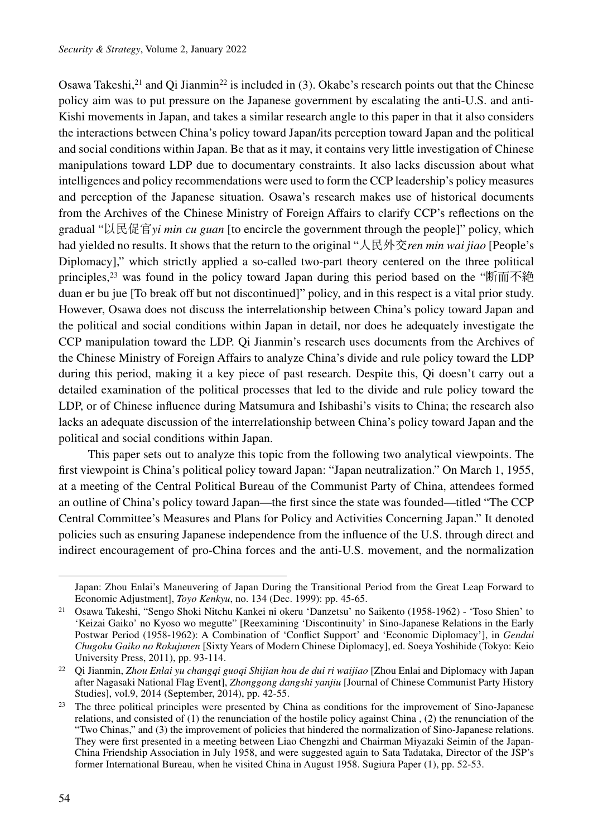Osawa Takeshi,<sup>21</sup> and Oi Jianmin<sup>22</sup> is included in (3). Okabe's research points out that the Chinese policy aim was to put pressure on the Japanese government by escalating the anti-U.S. and anti-Kishi movements in Japan, and takes a similar research angle to this paper in that it also considers the interactions between China's policy toward Japan/its perception toward Japan and the political and social conditions within Japan. Be that as it may, it contains very little investigation of Chinese manipulations toward LDP due to documentary constraints. It also lacks discussion about what intelligences and policy recommendations were used to form the CCP leadership's policy measures and perception of the Japanese situation. Osawa's research makes use of historical documents from the Archives of the Chinese Ministry of Foreign Affairs to clarify CCP's reflections on the gradual "以民促官*yi min cu guan* [to encircle the government through the people]" policy, which had yielded no results. It shows that the return to the original "人民外交*ren min wai jiao* [People's Diplomacy]," which strictly applied a so-called two-part theory centered on the three political principles,<sup>23</sup> was found in the policy toward Japan during this period based on the "断而不絶 duan er bu jue [To break off but not discontinued]" policy, and in this respect is a vital prior study. However, Osawa does not discuss the interrelationship between China's policy toward Japan and the political and social conditions within Japan in detail, nor does he adequately investigate the CCP manipulation toward the LDP. Qi Jianmin's research uses documents from the Archives of the Chinese Ministry of Foreign Affairs to analyze China's divide and rule policy toward the LDP during this period, making it a key piece of past research. Despite this, Qi doesn't carry out a detailed examination of the political processes that led to the divide and rule policy toward the LDP, or of Chinese influence during Matsumura and Ishibashi's visits to China; the research also lacks an adequate discussion of the interrelationship between China's policy toward Japan and the political and social conditions within Japan.

This paper sets out to analyze this topic from the following two analytical viewpoints. The first viewpoint is China's political policy toward Japan: "Japan neutralization." On March 1, 1955, at a meeting of the Central Political Bureau of the Communist Party of China, attendees formed an outline of China's policy toward Japan—the first since the state was founded—titled "The CCP Central Committee's Measures and Plans for Policy and Activities Concerning Japan." It denoted policies such as ensuring Japanese independence from the influence of the U.S. through direct and indirect encouragement of pro-China forces and the anti-U.S. movement, and the normalization

Japan: Zhou Enlai's Maneuvering of Japan During the Transitional Period from the Great Leap Forward to Economic Adjustment], *Toyo Kenkyu*, no. 134 (Dec. 1999): pp. 45-65.

<sup>21</sup> Osawa Takeshi, "Sengo Shoki Nitchu Kankei ni okeru 'Danzetsu' no Saikento (1958-1962) - 'Toso Shien' to 'Keizai Gaiko' no Kyoso wo megutte" [Reexamining 'Discontinuity' in Sino-Japanese Relations in the Early Postwar Period (1958-1962): A Combination of 'Conflict Support' and 'Economic Diplomacy'], in *Gendai Chugoku Gaiko no Rokujunen* [Sixty Years of Modern Chinese Diplomacy], ed. Soeya Yoshihide (Tokyo: Keio University Press, 2011), pp. 93-114.

<sup>22</sup> Qi Jianmin, *Zhou Enlai yu changqi guoqi Shijian hou de dui ri waijiao* [Zhou Enlai and Diplomacy with Japan after Nagasaki National Flag Event], *Zhonggong dangshi yanjiu* [Journal of Chinese Communist Party History Studies], vol.9, 2014 (September, 2014), pp. 42-55.

<sup>&</sup>lt;sup>23</sup> The three political principles were presented by China as conditions for the improvement of Sino-Japanese relations, and consisted of (1) the renunciation of the hostile policy against China , (2) the renunciation of the "Two Chinas," and (3) the improvement of policies that hindered the normalization of Sino-Japanese relations. They were first presented in a meeting between Liao Chengzhi and Chairman Miyazaki Seimin of the Japan-China Friendship Association in July 1958, and were suggested again to Sata Tadataka, Director of the JSP's former International Bureau, when he visited China in August 1958. Sugiura Paper (1), pp. 52-53.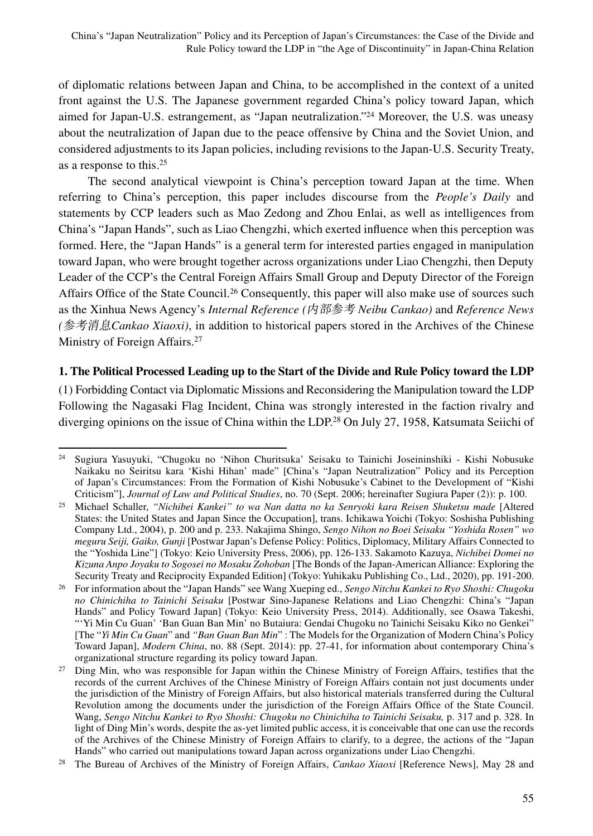of diplomatic relations between Japan and China, to be accomplished in the context of a united front against the U.S. The Japanese government regarded China's policy toward Japan, which aimed for Japan-U.S. estrangement, as "Japan neutralization."24 Moreover, the U.S. was uneasy about the neutralization of Japan due to the peace offensive by China and the Soviet Union, and considered adjustments to its Japan policies, including revisions to the Japan-U.S. Security Treaty, as a response to this.25

The second analytical viewpoint is China's perception toward Japan at the time. When referring to China's perception, this paper includes discourse from the *People's Daily* and statements by CCP leaders such as Mao Zedong and Zhou Enlai, as well as intelligences from China's "Japan Hands", such as Liao Chengzhi, which exerted influence when this perception was formed. Here, the "Japan Hands" is a general term for interested parties engaged in manipulation toward Japan, who were brought together across organizations under Liao Chengzhi, then Deputy Leader of the CCP's the Central Foreign Affairs Small Group and Deputy Director of the Foreign Affairs Office of the State Council.<sup>26</sup> Consequently, this paper will also make use of sources such as the Xinhua News Agency's *Internal Reference (*内部参考 *Neibu Cankao)* and *Reference News (*参考消息*Cankao Xiaoxi)*, in addition to historical papers stored in the Archives of the Chinese Ministry of Foreign Affairs.<sup>27</sup>

## **1. The Political Processed Leading up to the Start of the Divide and Rule Policy toward the LDP**

(1) Forbidding Contact via Diplomatic Missions and Reconsidering the Manipulation toward the LDP Following the Nagasaki Flag Incident, China was strongly interested in the faction rivalry and diverging opinions on the issue of China within the LDP.<sup>28</sup> On July 27, 1958, Katsumata Seiichi of

<sup>24</sup> Sugiura Yasuyuki, "Chugoku no 'Nihon Churitsuka' Seisaku to Tainichi Joseininshiki - Kishi Nobusuke Naikaku no Seiritsu kara 'Kishi Hihan' made" [China's "Japan Neutralization" Policy and its Perception of Japan's Circumstances: From the Formation of Kishi Nobusuke's Cabinet to the Development of "Kishi Criticism"], *Journal of Law and Political Studies*, no. 70 (Sept. 2006; hereinafter Sugiura Paper (2)): p. 100.

<sup>25</sup> Michael Schaller, *"Nichibei Kankei" to wa Nan datta no ka Senryoki kara Reisen Shuketsu made* [Altered States: the United States and Japan Since the Occupation], trans. Ichikawa Yoichi (Tokyo: Soshisha Publishing Company Ltd., 2004), p. 200 and p. 233. Nakajima Shingo, *Sengo Nihon no Boei Seisaku "Yoshida Rosen" wo meguru Seiji, Gaiko, Gunji* [Postwar Japan's Defense Policy: Politics, Diplomacy, Military Affairs Connected to the "Yoshida Line"] (Tokyo: Keio University Press, 2006), pp. 126-133. Sakamoto Kazuya, *Nichibei Domei no Kizuna Anpo Joyaku to Sogosei no Mosaku Zohoban* [The Bonds of the Japan-American Alliance: Exploring the Security Treaty and Reciprocity Expanded Edition] (Tokyo: Yuhikaku Publishing Co., Ltd., 2020), pp. 191-200.

<sup>26</sup> For information about the "Japan Hands" see Wang Xueping ed., *Sengo Nitchu Kankei to Ryo Shoshi: Chugoku no Chinichiha to Tainichi Seisaku* [Postwar Sino-Japanese Relations and Liao Chengzhi: China's "Japan Hands" and Policy Toward Japan] (Tokyo: Keio University Press, 2014). Additionally, see Osawa Takeshi, "'Yi Min Cu Guan' 'Ban Guan Ban Min' no Butaiura: Gendai Chugoku no Tainichi Seisaku Kiko no Genkei" [The "*Yi Min Cu Guan*" and *"Ban Guan Ban Min*" : The Models for the Organization of Modern China's Policy Toward Japan], *Modern China*, no. 88 (Sept. 2014): pp. 27-41, for information about contemporary China's organizational structure regarding its policy toward Japan.

<sup>&</sup>lt;sup>27</sup> Ding Min, who was responsible for Japan within the Chinese Ministry of Foreign Affairs, testifies that the records of the current Archives of the Chinese Ministry of Foreign Affairs contain not just documents under the jurisdiction of the Ministry of Foreign Affairs, but also historical materials transferred during the Cultural Revolution among the documents under the jurisdiction of the Foreign Affairs Office of the State Council. Wang, *Sengo Nitchu Kankei to Ryo Shoshi: Chugoku no Chinichiha to Tainichi Seisaku,* p. 317 and p. 328. In light of Ding Min's words, despite the as-yet limited public access, it is conceivable that one can use the records of the Archives of the Chinese Ministry of Foreign Affairs to clarify, to a degree, the actions of the "Japan Hands" who carried out manipulations toward Japan across organizations under Liao Chengzhi.

<sup>28</sup> The Bureau of Archives of the Ministry of Foreign Affairs, *Cankao Xiaoxi* [Reference News], May 28 and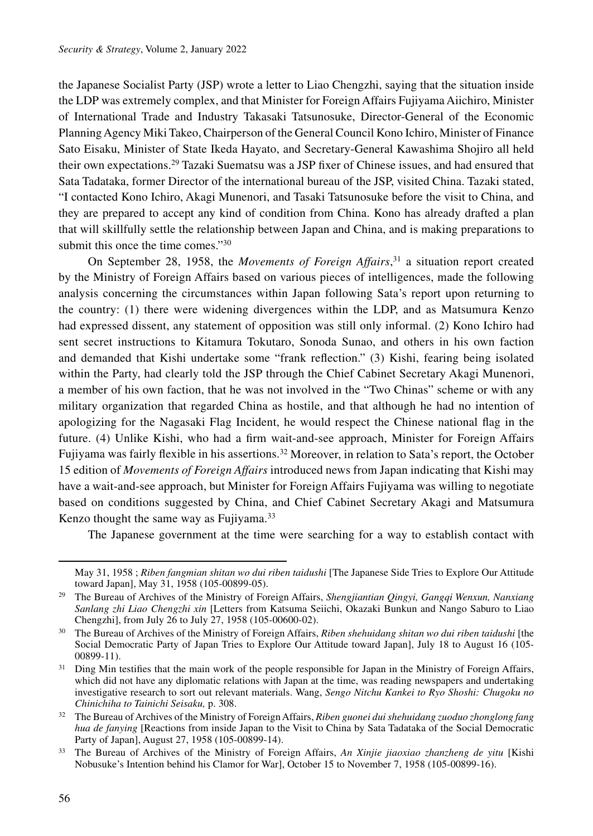the Japanese Socialist Party (JSP) wrote a letter to Liao Chengzhi, saying that the situation inside the LDP was extremely complex, and that Minister for Foreign Affairs Fujiyama Aiichiro, Minister of International Trade and Industry Takasaki Tatsunosuke, Director-General of the Economic Planning Agency Miki Takeo, Chairperson of the General Council Kono Ichiro, Minister of Finance Sato Eisaku, Minister of State Ikeda Hayato, and Secretary-General Kawashima Shojiro all held their own expectations.29 Tazaki Suematsu was a JSP fixer of Chinese issues, and had ensured that Sata Tadataka, former Director of the international bureau of the JSP, visited China. Tazaki stated, "I contacted Kono Ichiro, Akagi Munenori, and Tasaki Tatsunosuke before the visit to China, and they are prepared to accept any kind of condition from China. Kono has already drafted a plan that will skillfully settle the relationship between Japan and China, and is making preparations to submit this once the time comes."<sup>30</sup>

On September 28, 1958, the *Movements of Foreign Affairs*, 31 a situation report created by the Ministry of Foreign Affairs based on various pieces of intelligences, made the following analysis concerning the circumstances within Japan following Sata's report upon returning to the country: (1) there were widening divergences within the LDP, and as Matsumura Kenzo had expressed dissent, any statement of opposition was still only informal. (2) Kono Ichiro had sent secret instructions to Kitamura Tokutaro, Sonoda Sunao, and others in his own faction and demanded that Kishi undertake some "frank reflection." (3) Kishi, fearing being isolated within the Party, had clearly told the JSP through the Chief Cabinet Secretary Akagi Munenori, a member of his own faction, that he was not involved in the "Two Chinas" scheme or with any military organization that regarded China as hostile, and that although he had no intention of apologizing for the Nagasaki Flag Incident, he would respect the Chinese national flag in the future. (4) Unlike Kishi, who had a firm wait-and-see approach, Minister for Foreign Affairs Fujiyama was fairly flexible in his assertions.32 Moreover, in relation to Sata's report, the October 15 edition of *Movements of Foreign Affairs* introduced news from Japan indicating that Kishi may have a wait-and-see approach, but Minister for Foreign Affairs Fujiyama was willing to negotiate based on conditions suggested by China, and Chief Cabinet Secretary Akagi and Matsumura Kenzo thought the same way as Fujiyama.<sup>33</sup>

The Japanese government at the time were searching for a way to establish contact with

May 31, 1958 ; *Riben fangmian shitan wo dui riben taidushi* [The Japanese Side Tries to Explore Our Attitude toward Japan], May 31, 1958 (105-00899-05).

<sup>29</sup> The Bureau of Archives of the Ministry of Foreign Affairs, *Shengjiantian Qingyi, Gangqi Wenxun, Nanxiang Sanlang zhi Liao Chengzhi xin* [Letters from Katsuma Seiichi, Okazaki Bunkun and Nango Saburo to Liao Chengzhi], from July 26 to July 27, 1958 (105-00600-02).

<sup>30</sup> The Bureau of Archives of the Ministry of Foreign Affairs, *Riben shehuidang shitan wo dui riben taidushi* [the Social Democratic Party of Japan Tries to Explore Our Attitude toward Japan], July 18 to August 16 (105- 00899-11).

<sup>&</sup>lt;sup>31</sup> Ding Min testifies that the main work of the people responsible for Japan in the Ministry of Foreign Affairs, which did not have any diplomatic relations with Japan at the time, was reading newspapers and undertaking investigative research to sort out relevant materials. Wang, *Sengo Nitchu Kankei to Ryo Shoshi: Chugoku no Chinichiha to Tainichi Seisaku,* p. 308.

<sup>32</sup> The Bureau of Archives of the Ministry of Foreign Affairs, *Riben guonei dui shehuidang zuoduo zhonglong fang hua de fanying* [Reactions from inside Japan to the Visit to China by Sata Tadataka of the Social Democratic Party of Japan], August 27, 1958 (105-00899-14).

<sup>33</sup> The Bureau of Archives of the Ministry of Foreign Affairs, *An Xinjie jiaoxiao zhanzheng de yitu* [Kishi Nobusuke's Intention behind his Clamor for War], October 15 to November 7, 1958 (105-00899-16).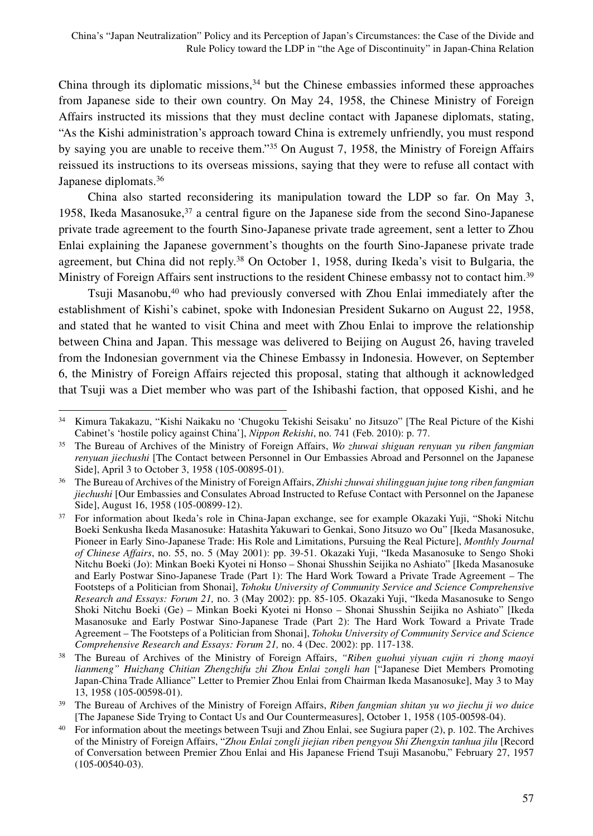China through its diplomatic missions, $34$  but the Chinese embassies informed these approaches from Japanese side to their own country. On May 24, 1958, the Chinese Ministry of Foreign Affairs instructed its missions that they must decline contact with Japanese diplomats, stating, "As the Kishi administration's approach toward China is extremely unfriendly, you must respond by saying you are unable to receive them."35 On August 7, 1958, the Ministry of Foreign Affairs reissued its instructions to its overseas missions, saying that they were to refuse all contact with Japanese diplomats.36

China also started reconsidering its manipulation toward the LDP so far. On May 3, 1958, Ikeda Masanosuke,<sup>37</sup> a central figure on the Japanese side from the second Sino-Japanese private trade agreement to the fourth Sino-Japanese private trade agreement, sent a letter to Zhou Enlai explaining the Japanese government's thoughts on the fourth Sino-Japanese private trade agreement, but China did not reply.<sup>38</sup> On October 1, 1958, during Ikeda's visit to Bulgaria, the Ministry of Foreign Affairs sent instructions to the resident Chinese embassy not to contact him.<sup>39</sup>

Tsuji Masanobu,40 who had previously conversed with Zhou Enlai immediately after the establishment of Kishi's cabinet, spoke with Indonesian President Sukarno on August 22, 1958, and stated that he wanted to visit China and meet with Zhou Enlai to improve the relationship between China and Japan. This message was delivered to Beijing on August 26, having traveled from the Indonesian government via the Chinese Embassy in Indonesia. However, on September 6, the Ministry of Foreign Affairs rejected this proposal, stating that although it acknowledged that Tsuji was a Diet member who was part of the Ishibashi faction, that opposed Kishi, and he

<sup>34</sup> Kimura Takakazu, "Kishi Naikaku no 'Chugoku Tekishi Seisaku' no Jitsuzo" [The Real Picture of the Kishi Cabinet's 'hostile policy against China'], *Nippon Rekishi*, no. 741 (Feb. 2010): p. 77.

<sup>35</sup> The Bureau of Archives of the Ministry of Foreign Affairs, *Wo zhuwai shiguan renyuan yu riben fangmian renyuan jiechushi* [The Contact between Personnel in Our Embassies Abroad and Personnel on the Japanese Side], April 3 to October 3, 1958 (105-00895-01).

<sup>36</sup> The Bureau of Archives of the Ministry of Foreign Affairs, *Zhishi zhuwai shilingguan jujue tong riben fangmian jiechushi* [Our Embassies and Consulates Abroad Instructed to Refuse Contact with Personnel on the Japanese Side], August 16, 1958 (105-00899-12).

<sup>&</sup>lt;sup>37</sup> For information about Ikeda's role in China-Japan exchange, see for example Okazaki Yuji, "Shoki Nitchu Boeki Senkusha Ikeda Masanosuke: Hatashita Yakuwari to Genkai, Sono Jitsuzo wo Ou" [Ikeda Masanosuke, Pioneer in Early Sino-Japanese Trade: His Role and Limitations, Pursuing the Real Picture], *Monthly Journal of Chinese Affairs*, no. 55, no. 5 (May 2001): pp. 39-51. Okazaki Yuji, "Ikeda Masanosuke to Sengo Shoki Nitchu Boeki (Jo): Minkan Boeki Kyotei ni Honso – Shonai Shusshin Seijika no Ashiato" [Ikeda Masanosuke and Early Postwar Sino-Japanese Trade (Part 1): The Hard Work Toward a Private Trade Agreement – The Footsteps of a Politician from Shonai], *Tohoku University of Community Service and Science Comprehensive Research and Essays: Forum 21,* no. 3 (May 2002): pp. 85-105. Okazaki Yuji, "Ikeda Masanosuke to Sengo Shoki Nitchu Boeki (Ge) – Minkan Boeki Kyotei ni Honso – Shonai Shusshin Seijika no Ashiato" [Ikeda Masanosuke and Early Postwar Sino-Japanese Trade (Part 2): The Hard Work Toward a Private Trade Agreement – The Footsteps of a Politician from Shonai], *Tohoku University of Community Service and Science Comprehensive Research and Essays: Forum 21,* no. 4 (Dec. 2002): pp. 117-138.

<sup>38</sup> The Bureau of Archives of the Ministry of Foreign Affairs, *"Riben guohui yiyuan cujin ri zhong maoyi lianmeng" Huizhang Chitian Zhengzhifu zhi Zhou Enlai zongli han* ["Japanese Diet Members Promoting Japan-China Trade Alliance" Letter to Premier Zhou Enlai from Chairman Ikeda Masanosuke], May 3 to May 13, 1958 (105-00598-01).

<sup>39</sup> The Bureau of Archives of the Ministry of Foreign Affairs, *Riben fangmian shitan yu wo jiechu ji wo duice* [The Japanese Side Trying to Contact Us and Our Countermeasures], October 1, 1958 (105-00598-04).

<sup>&</sup>lt;sup>40</sup> For information about the meetings between Tsuji and Zhou Enlai, see Sugiura paper (2), p. 102. The Archives of the Ministry of Foreign Affairs, "*Zhou Enlai zongli jiejian riben pengyou Shi Zhengxin tanhua jilu* [Record of Conversation between Premier Zhou Enlai and His Japanese Friend Tsuji Masanobu," February 27, 1957 (105-00540-03).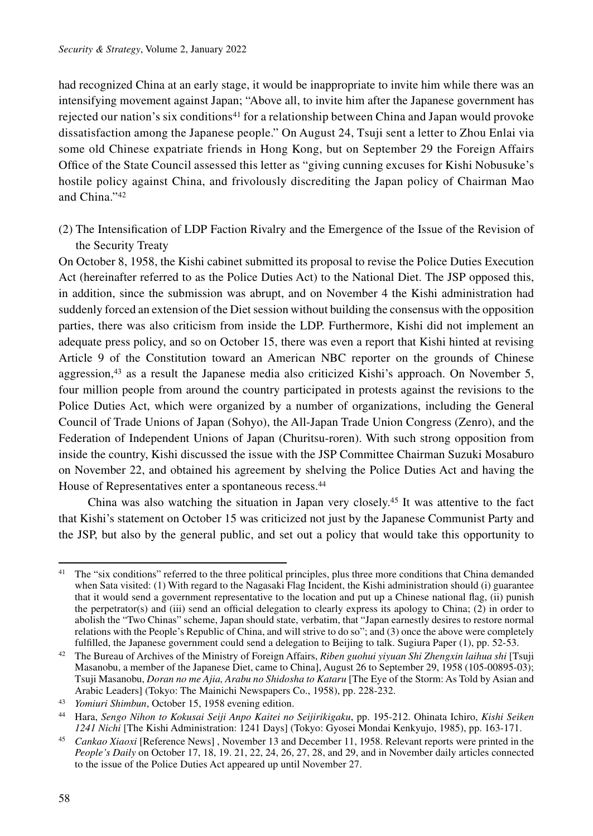had recognized China at an early stage, it would be inappropriate to invite him while there was an intensifying movement against Japan; "Above all, to invite him after the Japanese government has rejected our nation's six conditions<sup>41</sup> for a relationship between China and Japan would provoke dissatisfaction among the Japanese people." On August 24, Tsuji sent a letter to Zhou Enlai via some old Chinese expatriate friends in Hong Kong, but on September 29 the Foreign Affairs Office of the State Council assessed this letter as "giving cunning excuses for Kishi Nobusuke's hostile policy against China, and frivolously discrediting the Japan policy of Chairman Mao and China."42

(2) The Intensification of LDP Faction Rivalry and the Emergence of the Issue of the Revision of the Security Treaty

On October 8, 1958, the Kishi cabinet submitted its proposal to revise the Police Duties Execution Act (hereinafter referred to as the Police Duties Act) to the National Diet. The JSP opposed this, in addition, since the submission was abrupt, and on November 4 the Kishi administration had suddenly forced an extension of the Diet session without building the consensus with the opposition parties, there was also criticism from inside the LDP. Furthermore, Kishi did not implement an adequate press policy, and so on October 15, there was even a report that Kishi hinted at revising Article 9 of the Constitution toward an American NBC reporter on the grounds of Chinese aggression,<sup>43</sup> as a result the Japanese media also criticized Kishi's approach. On November 5, four million people from around the country participated in protests against the revisions to the Police Duties Act, which were organized by a number of organizations, including the General Council of Trade Unions of Japan (Sohyo), the All-Japan Trade Union Congress (Zenro), and the Federation of Independent Unions of Japan (Churitsu-roren). With such strong opposition from inside the country, Kishi discussed the issue with the JSP Committee Chairman Suzuki Mosaburo on November 22, and obtained his agreement by shelving the Police Duties Act and having the House of Representatives enter a spontaneous recess.44

China was also watching the situation in Japan very closely.45 It was attentive to the fact that Kishi's statement on October 15 was criticized not just by the Japanese Communist Party and the JSP, but also by the general public, and set out a policy that would take this opportunity to

<sup>&</sup>lt;sup>41</sup> The "six conditions" referred to the three political principles, plus three more conditions that China demanded when Sata visited: (1) With regard to the Nagasaki Flag Incident, the Kishi administration should (i) guarantee that it would send a government representative to the location and put up a Chinese national flag, (ii) punish the perpetrator(s) and (iii) send an official delegation to clearly express its apology to China; (2) in order to abolish the "Two Chinas" scheme, Japan should state, verbatim, that "Japan earnestly desires to restore normal relations with the People's Republic of China, and will strive to do so"; and (3) once the above were completely fulfilled, the Japanese government could send a delegation to Beijing to talk. Sugiura Paper (1), pp. 52-53.

<sup>42</sup> The Bureau of Archives of the Ministry of Foreign Affairs, *Riben guohui yiyuan Shi Zhengxin laihua shi* [Tsuji Masanobu, a member of the Japanese Diet, came to China], August 26 to September 29, 1958 (105-00895-03); Tsuji Masanobu, *Doran no me Ajia, Arabu no Shidosha to Kataru* [The Eye of the Storm: As Told by Asian and Arabic Leaders] (Tokyo: The Mainichi Newspapers Co., 1958), pp. 228-232. 43 *Yomiuri Shimbun*, October 15, 1958 evening edition.

<sup>44</sup> Hara, *Sengo Nihon to Kokusai Seiji Anpo Kaitei no Seijirikigaku*, pp. 195-212. Ohinata Ichiro, *Kishi Seiken 1241 Nichi* [The Kishi Administration: 1241 Days] (Tokyo: Gyosei Mondai Kenkyujo, 1985), pp. 163-171.

<sup>45</sup> *Cankao Xiaoxi* [Reference News] , November 13 and December 11, 1958. Relevant reports were printed in the *People's Daily* on October 17, 18, 19. 21, 22, 24, 26, 27, 28, and 29, and in November daily articles connected to the issue of the Police Duties Act appeared up until November 27.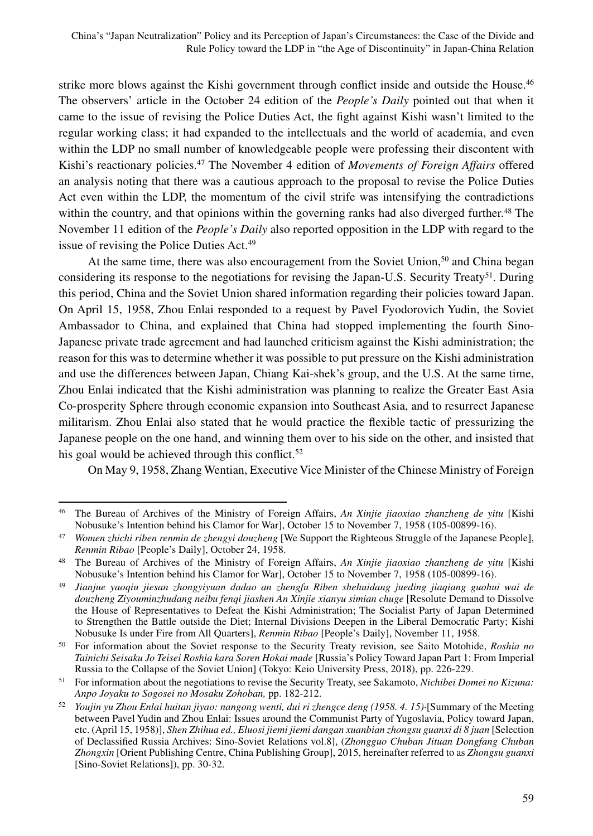strike more blows against the Kishi government through conflict inside and outside the House.<sup>46</sup> The observers' article in the October 24 edition of the *People's Daily* pointed out that when it came to the issue of revising the Police Duties Act, the fight against Kishi wasn't limited to the regular working class; it had expanded to the intellectuals and the world of academia, and even within the LDP no small number of knowledgeable people were professing their discontent with Kishi's reactionary policies.47 The November 4 edition of *Movements of Foreign Affairs* offered an analysis noting that there was a cautious approach to the proposal to revise the Police Duties Act even within the LDP, the momentum of the civil strife was intensifying the contradictions within the country, and that opinions within the governing ranks had also diverged further.<sup>48</sup> The November 11 edition of the *People's Daily* also reported opposition in the LDP with regard to the issue of revising the Police Duties Act.<sup>49</sup>

At the same time, there was also encouragement from the Soviet Union,<sup>50</sup> and China began considering its response to the negotiations for revising the Japan-U.S. Security Treaty51. During this period, China and the Soviet Union shared information regarding their policies toward Japan. On April 15, 1958, Zhou Enlai responded to a request by Pavel Fyodorovich Yudin, the Soviet Ambassador to China, and explained that China had stopped implementing the fourth Sino-Japanese private trade agreement and had launched criticism against the Kishi administration; the reason for this was to determine whether it was possible to put pressure on the Kishi administration and use the differences between Japan, Chiang Kai-shek's group, and the U.S. At the same time, Zhou Enlai indicated that the Kishi administration was planning to realize the Greater East Asia Co-prosperity Sphere through economic expansion into Southeast Asia, and to resurrect Japanese militarism. Zhou Enlai also stated that he would practice the flexible tactic of pressurizing the Japanese people on the one hand, and winning them over to his side on the other, and insisted that his goal would be achieved through this conflict.<sup>52</sup>

On May 9, 1958, Zhang Wentian, Executive Vice Minister of the Chinese Ministry of Foreign

<sup>46</sup> The Bureau of Archives of the Ministry of Foreign Affairs, *An Xinjie jiaoxiao zhanzheng de yitu* [Kishi Nobusuke's Intention behind his Clamor for War], October 15 to November 7, 1958 (105-00899-16).

<sup>47</sup> *Women zhichi riben renmin de zhengyi douzheng* [We Support the Righteous Struggle of the Japanese People], *Renmin Ribao* [People's Daily], October 24, 1958.

<sup>48</sup> The Bureau of Archives of the Ministry of Foreign Affairs, *An Xinjie jiaoxiao zhanzheng de yitu* [Kishi Nobusuke's Intention behind his Clamor for War], October 15 to November 7, 1958 (105-00899-16).

<sup>49</sup> *Jianjue yaoqiu jiesan zhongyiyuan dadao an zhengfu Riben shehuidang jueding jiaqiang guohui wai de douzheng Ziyouminzhudang neibu fenqi jiashen An Xinjie xianyu simian chuge* [Resolute Demand to Dissolve the House of Representatives to Defeat the Kishi Administration; The Socialist Party of Japan Determined to Strengthen the Battle outside the Diet; Internal Divisions Deepen in the Liberal Democratic Party; Kishi Nobusuke Is under Fire from All Quarters], *Renmin Ribao* [People's Daily], November 11, 1958.

<sup>50</sup> For information about the Soviet response to the Security Treaty revision, see Saito Motohide, *Roshia no Tainichi Seisaku Jo Teisei Roshia kara Soren Hokai made* [Russia's Policy Toward Japan Part 1: From Imperial Russia to the Collapse of the Soviet Union] (Tokyo: Keio University Press, 2018), pp. 226-229.

<sup>51</sup> For information about the negotiations to revise the Security Treaty, see Sakamoto, *Nichibei Domei no Kizuna: Anpo Joyaku to Sogosei no Mosaku Zohoban,* pp. 182-212.

<sup>52</sup> *Youjin yu Zhou Enlai huitan jiyao: nangong wenti, dui ri zhengce deng (1958. 4. 15)*·[Summary of the Meeting between Pavel Yudin and Zhou Enlai: Issues around the Communist Party of Yugoslavia, Policy toward Japan, etc. (April 15, 1958)], *Shen Zhihua ed., Eluosi jiemi jiemi dangan xuanbian zhongsu guanxi di 8 juan* [Selection of Declassified Russia Archives: Sino-Soviet Relations vol.8], (*Zhongguo Chuban Jituan Dongfang Chuban Zhongxin* [Orient Publishing Centre, China Publishing Group], 2015, hereinafter referred to as *Zhongsu guanxi*  [Sino-Soviet Relations]), pp. 30-32.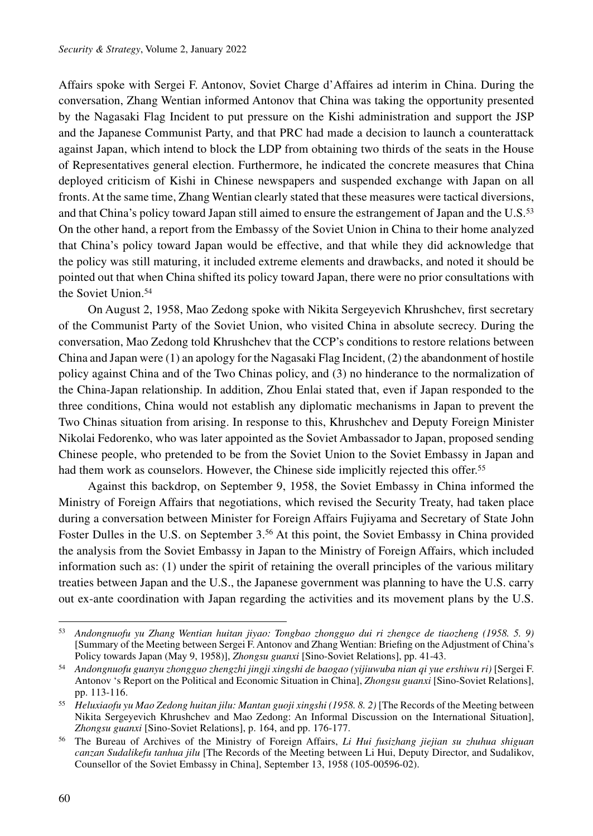Affairs spoke with Sergei F. Antonov, Soviet Charge d'Affaires ad interim in China. During the conversation, Zhang Wentian informed Antonov that China was taking the opportunity presented by the Nagasaki Flag Incident to put pressure on the Kishi administration and support the JSP and the Japanese Communist Party, and that PRC had made a decision to launch a counterattack against Japan, which intend to block the LDP from obtaining two thirds of the seats in the House of Representatives general election. Furthermore, he indicated the concrete measures that China deployed criticism of Kishi in Chinese newspapers and suspended exchange with Japan on all fronts. At the same time, Zhang Wentian clearly stated that these measures were tactical diversions, and that China's policy toward Japan still aimed to ensure the estrangement of Japan and the U.S.<sup>53</sup> On the other hand, a report from the Embassy of the Soviet Union in China to their home analyzed that China's policy toward Japan would be effective, and that while they did acknowledge that the policy was still maturing, it included extreme elements and drawbacks, and noted it should be pointed out that when China shifted its policy toward Japan, there were no prior consultations with the Soviet Union.54

On August 2, 1958, Mao Zedong spoke with Nikita Sergeyevich Khrushchev, first secretary of the Communist Party of the Soviet Union, who visited China in absolute secrecy. During the conversation, Mao Zedong told Khrushchev that the CCP's conditions to restore relations between China and Japan were (1) an apology for the Nagasaki Flag Incident, (2) the abandonment of hostile policy against China and of the Two Chinas policy, and (3) no hinderance to the normalization of the China-Japan relationship. In addition, Zhou Enlai stated that, even if Japan responded to the three conditions, China would not establish any diplomatic mechanisms in Japan to prevent the Two Chinas situation from arising. In response to this, Khrushchev and Deputy Foreign Minister Nikolai Fedorenko, who was later appointed as the Soviet Ambassador to Japan, proposed sending Chinese people, who pretended to be from the Soviet Union to the Soviet Embassy in Japan and had them work as counselors. However, the Chinese side implicitly rejected this offer.<sup>55</sup>

Against this backdrop, on September 9, 1958, the Soviet Embassy in China informed the Ministry of Foreign Affairs that negotiations, which revised the Security Treaty, had taken place during a conversation between Minister for Foreign Affairs Fujiyama and Secretary of State John Foster Dulles in the U.S. on September 3.<sup>56</sup> At this point, the Soviet Embassy in China provided the analysis from the Soviet Embassy in Japan to the Ministry of Foreign Affairs, which included information such as: (1) under the spirit of retaining the overall principles of the various military treaties between Japan and the U.S., the Japanese government was planning to have the U.S. carry out ex-ante coordination with Japan regarding the activities and its movement plans by the U.S.

<sup>53</sup> *Andongnuofu yu Zhang Wentian huitan jiyao: Tongbao zhongguo dui ri zhengce de tiaozheng (1958. 5. 9)*  [Summary of the Meeting between Sergei F. Antonov and Zhang Wentian: Briefing on the Adjustment of China's Policy towards Japan (May 9, 1958)], *Zhongsu guanxi* [Sino-Soviet Relations], pp. 41-43.

<sup>54</sup> *Andongnuofu guanyu zhongguo zhengzhi jingji xingshi de baogao (yijiuwuba nian qi yue ershiwu ri)* [Sergei F. Antonov 's Report on the Political and Economic Situation in China], *Zhongsu guanxi* [Sino-Soviet Relations], pp. 113-116.

<sup>&</sup>lt;sup>55</sup> Heluxiaofu yu Mao Zedong huitan jilu: Mantan guoji xingshi (1958. 8. 2) [The Records of the Meeting between Nikita Sergeyevich Khrushchev and Mao Zedong: An Informal Discussion on the International Situation], *Zhongsu guanxi* [Sino-Soviet Relations], p. 164, and pp. 176-177.

<sup>56</sup> The Bureau of Archives of the Ministry of Foreign Affairs, *Li Hui fusizhang jiejian su zhuhua shiguan canzan Sudalikefu tanhua jilu* [The Records of the Meeting between Li Hui, Deputy Director, and Sudalikov, Counsellor of the Soviet Embassy in China], September 13, 1958 (105-00596-02).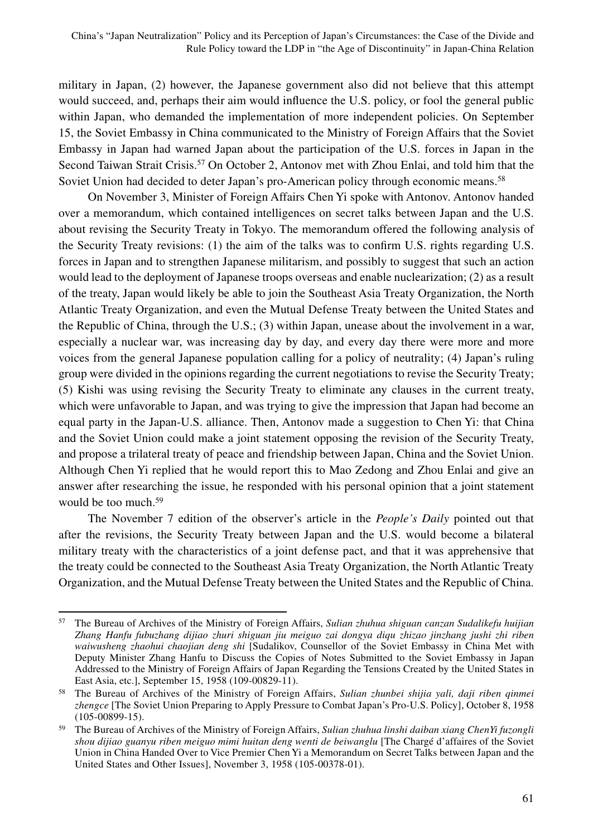military in Japan, (2) however, the Japanese government also did not believe that this attempt would succeed, and, perhaps their aim would influence the U.S. policy, or fool the general public within Japan, who demanded the implementation of more independent policies. On September 15, the Soviet Embassy in China communicated to the Ministry of Foreign Affairs that the Soviet Embassy in Japan had warned Japan about the participation of the U.S. forces in Japan in the Second Taiwan Strait Crisis.<sup>57</sup> On October 2, Antonov met with Zhou Enlai, and told him that the Soviet Union had decided to deter Japan's pro-American policy through economic means.<sup>58</sup>

On November 3, Minister of Foreign Affairs Chen Yi spoke with Antonov. Antonov handed over a memorandum, which contained intelligences on secret talks between Japan and the U.S. about revising the Security Treaty in Tokyo. The memorandum offered the following analysis of the Security Treaty revisions: (1) the aim of the talks was to confirm U.S. rights regarding U.S. forces in Japan and to strengthen Japanese militarism, and possibly to suggest that such an action would lead to the deployment of Japanese troops overseas and enable nuclearization; (2) as a result of the treaty, Japan would likely be able to join the Southeast Asia Treaty Organization, the North Atlantic Treaty Organization, and even the Mutual Defense Treaty between the United States and the Republic of China, through the U.S.; (3) within Japan, unease about the involvement in a war, especially a nuclear war, was increasing day by day, and every day there were more and more voices from the general Japanese population calling for a policy of neutrality; (4) Japan's ruling group were divided in the opinions regarding the current negotiations to revise the Security Treaty; (5) Kishi was using revising the Security Treaty to eliminate any clauses in the current treaty, which were unfavorable to Japan, and was trying to give the impression that Japan had become an equal party in the Japan-U.S. alliance. Then, Antonov made a suggestion to Chen Yi: that China and the Soviet Union could make a joint statement opposing the revision of the Security Treaty, and propose a trilateral treaty of peace and friendship between Japan, China and the Soviet Union. Although Chen Yi replied that he would report this to Mao Zedong and Zhou Enlai and give an answer after researching the issue, he responded with his personal opinion that a joint statement would be too much.<sup>59</sup>

The November 7 edition of the observer's article in the *People's Daily* pointed out that after the revisions, the Security Treaty between Japan and the U.S. would become a bilateral military treaty with the characteristics of a joint defense pact, and that it was apprehensive that the treaty could be connected to the Southeast Asia Treaty Organization, the North Atlantic Treaty Organization, and the Mutual Defense Treaty between the United States and the Republic of China.

<sup>57</sup> The Bureau of Archives of the Ministry of Foreign Affairs, *Sulian zhuhua shiguan canzan Sudalikefu huijian Zhang Hanfu fubuzhang dijiao zhuri shiguan jiu meiguo zai dongya diqu zhizao jinzhang jushi zhi riben waiwusheng zhaohui chaojian deng shi* [Sudalikov, Counsellor of the Soviet Embassy in China Met with Deputy Minister Zhang Hanfu to Discuss the Copies of Notes Submitted to the Soviet Embassy in Japan Addressed to the Ministry of Foreign Affairs of Japan Regarding the Tensions Created by the United States in East Asia, etc.], September 15, 1958 (109-00829-11).

<sup>58</sup> The Bureau of Archives of the Ministry of Foreign Affairs, *Sulian zhunbei shijia yali, daji riben qinmei zhengce* [The Soviet Union Preparing to Apply Pressure to Combat Japan's Pro-U.S. Policy], October 8, 1958 (105-00899-15).

<sup>59</sup> The Bureau of Archives of the Ministry of Foreign Affairs, *Sulian zhuhua linshi daiban xiang ChenYi fuzongli shou dijiao guanyu riben meiguo mimi huitan deng wenti de beiwanglu* [The Chargé d'affaires of the Soviet Union in China Handed Over to Vice Premier Chen Yi a Memorandum on Secret Talks between Japan and the United States and Other Issues], November 3, 1958 (105-00378-01).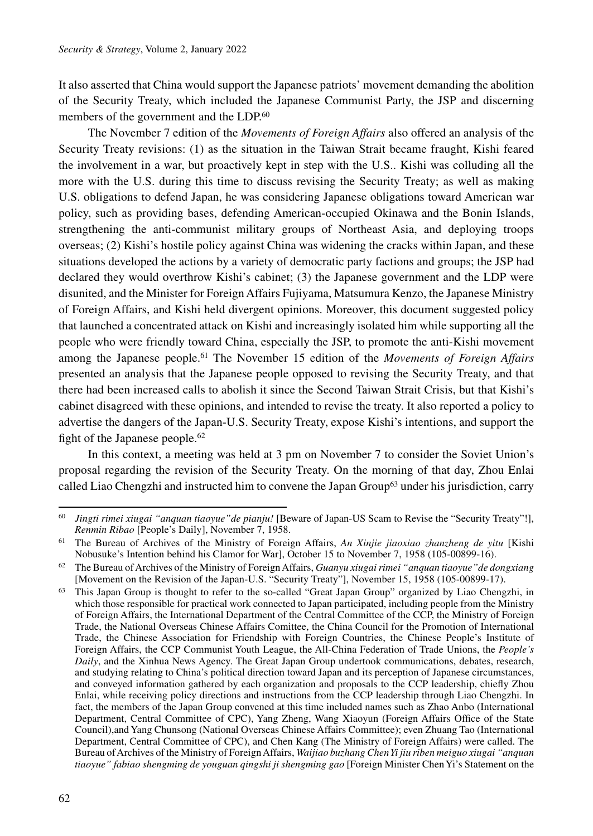It also asserted that China would support the Japanese patriots' movement demanding the abolition of the Security Treaty, which included the Japanese Communist Party, the JSP and discerning members of the government and the LDP.<sup>60</sup>

The November 7 edition of the *Movements of Foreign Affairs* also offered an analysis of the Security Treaty revisions: (1) as the situation in the Taiwan Strait became fraught, Kishi feared the involvement in a war, but proactively kept in step with the U.S.. Kishi was colluding all the more with the U.S. during this time to discuss revising the Security Treaty; as well as making U.S. obligations to defend Japan, he was considering Japanese obligations toward American war policy, such as providing bases, defending American-occupied Okinawa and the Bonin Islands, strengthening the anti-communist military groups of Northeast Asia, and deploying troops overseas; (2) Kishi's hostile policy against China was widening the cracks within Japan, and these situations developed the actions by a variety of democratic party factions and groups; the JSP had declared they would overthrow Kishi's cabinet; (3) the Japanese government and the LDP were disunited, and the Minister for Foreign Affairs Fujiyama, Matsumura Kenzo, the Japanese Ministry of Foreign Affairs, and Kishi held divergent opinions. Moreover, this document suggested policy that launched a concentrated attack on Kishi and increasingly isolated him while supporting all the people who were friendly toward China, especially the JSP, to promote the anti-Kishi movement among the Japanese people.61 The November 15 edition of the *Movements of Foreign Affairs* presented an analysis that the Japanese people opposed to revising the Security Treaty, and that there had been increased calls to abolish it since the Second Taiwan Strait Crisis, but that Kishi's cabinet disagreed with these opinions, and intended to revise the treaty. It also reported a policy to advertise the dangers of the Japan-U.S. Security Treaty, expose Kishi's intentions, and support the fight of the Japanese people.<sup>62</sup>

In this context, a meeting was held at 3 pm on November 7 to consider the Soviet Union's proposal regarding the revision of the Security Treaty. On the morning of that day, Zhou Enlai called Liao Chengzhi and instructed him to convene the Japan Group<sup>63</sup> under his jurisdiction, carry

<sup>60</sup> *Jingti rimei xiugai "anquan tiaoyue"de pianju!* [Beware of Japan-US Scam to Revise the "Security Treaty"!], *Renmin Ribao* [People's Daily], November 7, 1958.

<sup>61</sup> The Bureau of Archives of the Ministry of Foreign Affairs, *An Xinjie jiaoxiao zhanzheng de yitu* [Kishi Nobusuke's Intention behind his Clamor for War], October 15 to November 7, 1958 (105-00899-16).

<sup>62</sup> The Bureau of Archives of the Ministry of Foreign Affairs, *Guanyu xiugai rimei "anquan tiaoyue"de dongxiang* [Movement on the Revision of the Japan-U.S. "Security Treaty"], November 15, 1958 (105-00899-17).

This Japan Group is thought to refer to the so-called "Great Japan Group" organized by Liao Chengzhi, in which those responsible for practical work connected to Japan participated, including people from the Ministry of Foreign Affairs, the International Department of the Central Committee of the CCP, the Ministry of Foreign Trade, the National Overseas Chinese Affairs Comittee, the China Council for the Promotion of International Trade, the Chinese Association for Friendship with Foreign Countries, the Chinese People's Institute of Foreign Affairs, the CCP Communist Youth League, the All-China Federation of Trade Unions, the *People's Daily*, and the Xinhua News Agency. The Great Japan Group undertook communications, debates, research, and studying relating to China's political direction toward Japan and its perception of Japanese circumstances, and conveyed information gathered by each organization and proposals to the CCP leadership, chiefly Zhou Enlai, while receiving policy directions and instructions from the CCP leadership through Liao Chengzhi. In fact, the members of the Japan Group convened at this time included names such as Zhao Anbo (International Department, Central Committee of CPC), Yang Zheng, Wang Xiaoyun (Foreign Affairs Office of the State Council),and Yang Chunsong (National Overseas Chinese Affairs Committee); even Zhuang Tao (International Department, Central Committee of CPC), and Chen Kang (The Ministry of Foreign Affairs) were called. The Bureau of Archives of the Ministry of Foreign Affairs, *Waijiao buzhang Chen Yi jiu riben meiguo xiugai "anquan tiaoyue" fabiao shengming de youguan qingshi ji shengming gao* [Foreign Minister Chen Yi's Statement on the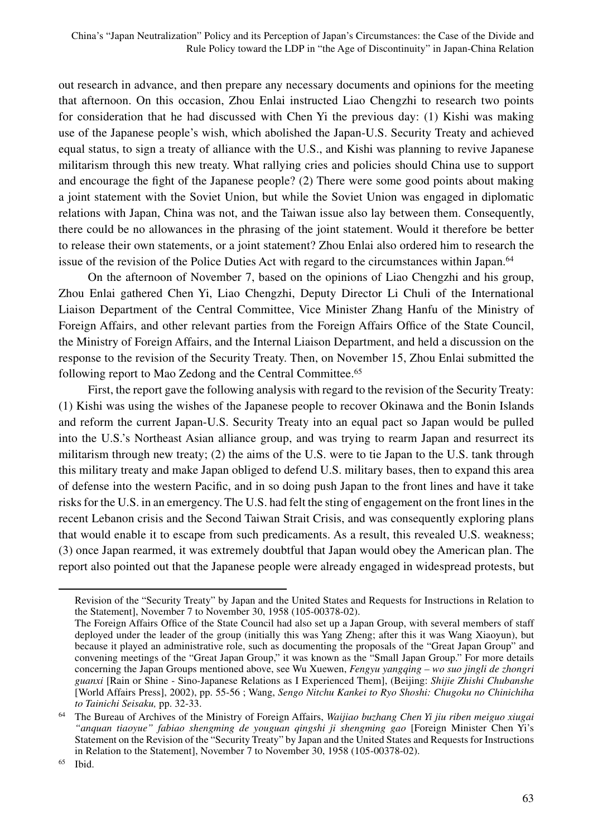out research in advance, and then prepare any necessary documents and opinions for the meeting that afternoon. On this occasion, Zhou Enlai instructed Liao Chengzhi to research two points for consideration that he had discussed with Chen Yi the previous day: (1) Kishi was making use of the Japanese people's wish, which abolished the Japan-U.S. Security Treaty and achieved equal status, to sign a treaty of alliance with the U.S., and Kishi was planning to revive Japanese militarism through this new treaty. What rallying cries and policies should China use to support and encourage the fight of the Japanese people? (2) There were some good points about making a joint statement with the Soviet Union, but while the Soviet Union was engaged in diplomatic relations with Japan, China was not, and the Taiwan issue also lay between them. Consequently, there could be no allowances in the phrasing of the joint statement. Would it therefore be better to release their own statements, or a joint statement? Zhou Enlai also ordered him to research the issue of the revision of the Police Duties Act with regard to the circumstances within Japan.<sup>64</sup>

On the afternoon of November 7, based on the opinions of Liao Chengzhi and his group, Zhou Enlai gathered Chen Yi, Liao Chengzhi, Deputy Director Li Chuli of the International Liaison Department of the Central Committee, Vice Minister Zhang Hanfu of the Ministry of Foreign Affairs, and other relevant parties from the Foreign Affairs Office of the State Council, the Ministry of Foreign Affairs, and the Internal Liaison Department, and held a discussion on the response to the revision of the Security Treaty. Then, on November 15, Zhou Enlai submitted the following report to Mao Zedong and the Central Committee.<sup>65</sup>

First, the report gave the following analysis with regard to the revision of the Security Treaty: (1) Kishi was using the wishes of the Japanese people to recover Okinawa and the Bonin Islands and reform the current Japan-U.S. Security Treaty into an equal pact so Japan would be pulled into the U.S.'s Northeast Asian alliance group, and was trying to rearm Japan and resurrect its militarism through new treaty; (2) the aims of the U.S. were to tie Japan to the U.S. tank through this military treaty and make Japan obliged to defend U.S. military bases, then to expand this area of defense into the western Pacific, and in so doing push Japan to the front lines and have it take risks for the U.S. in an emergency. The U.S. had felt the sting of engagement on the front lines in the recent Lebanon crisis and the Second Taiwan Strait Crisis, and was consequently exploring plans that would enable it to escape from such predicaments. As a result, this revealed U.S. weakness; (3) once Japan rearmed, it was extremely doubtful that Japan would obey the American plan. The report also pointed out that the Japanese people were already engaged in widespread protests, but

Revision of the "Security Treaty" by Japan and the United States and Requests for Instructions in Relation to the Statement], November 7 to November 30, 1958 (105-00378-02).

The Foreign Affairs Office of the State Council had also set up a Japan Group, with several members of staff deployed under the leader of the group (initially this was Yang Zheng; after this it was Wang Xiaoyun), but because it played an administrative role, such as documenting the proposals of the "Great Japan Group" and convening meetings of the "Great Japan Group," it was known as the "Small Japan Group." For more details concerning the Japan Groups mentioned above, see Wu Xuewen, *Fengyu yangqing – wo suo jingli de zhongri guanxi* [Rain or Shine - Sino-Japanese Relations as I Experienced Them], (Beijing: *Shijie Zhishi Chubanshe* [World Affairs Press], 2002), pp. 55-56 ; Wang, *Sengo Nitchu Kankei to Ryo Shoshi: Chugoku no Chinichiha* 

*to Tainichi Seisaku,* pp. 32-33. 64 The Bureau of Archives of the Ministry of Foreign Affairs, *Waijiao buzhang Chen Yi jiu riben meiguo xiugai "anquan tiaoyue" fabiao shengming de youguan qingshi ji shengming gao* [Foreign Minister Chen Yi's Statement on the Revision of the "Security Treaty" by Japan and the United States and Requests for Instructions in Relation to the Statement], November 7 to November 30, 1958 (105-00378-02).

<sup>65</sup> Ibid.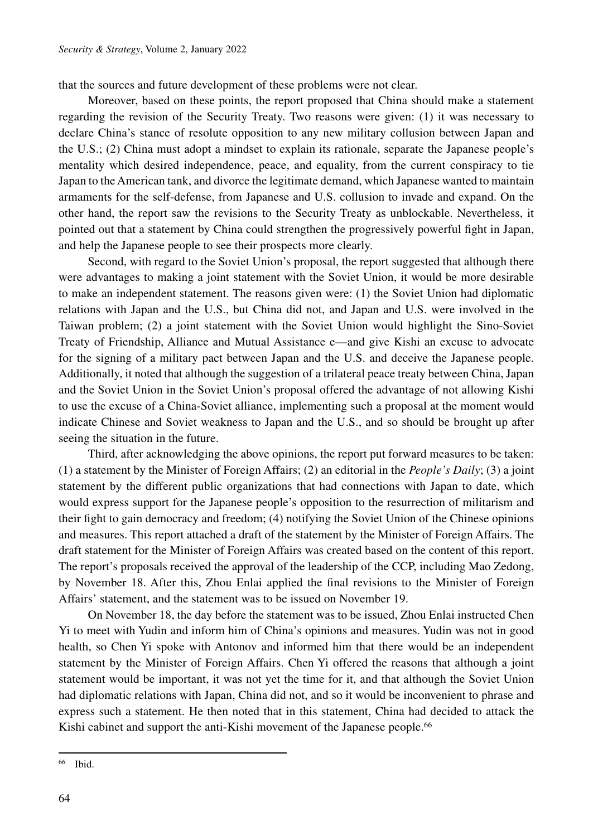that the sources and future development of these problems were not clear.

Moreover, based on these points, the report proposed that China should make a statement regarding the revision of the Security Treaty. Two reasons were given: (1) it was necessary to declare China's stance of resolute opposition to any new military collusion between Japan and the U.S.; (2) China must adopt a mindset to explain its rationale, separate the Japanese people's mentality which desired independence, peace, and equality, from the current conspiracy to tie Japan to the American tank, and divorce the legitimate demand, which Japanese wanted to maintain armaments for the self-defense, from Japanese and U.S. collusion to invade and expand. On the other hand, the report saw the revisions to the Security Treaty as unblockable. Nevertheless, it pointed out that a statement by China could strengthen the progressively powerful fight in Japan, and help the Japanese people to see their prospects more clearly.

Second, with regard to the Soviet Union's proposal, the report suggested that although there were advantages to making a joint statement with the Soviet Union, it would be more desirable to make an independent statement. The reasons given were: (1) the Soviet Union had diplomatic relations with Japan and the U.S., but China did not, and Japan and U.S. were involved in the Taiwan problem; (2) a joint statement with the Soviet Union would highlight the Sino-Soviet Treaty of Friendship, Alliance and Mutual Assistance e—and give Kishi an excuse to advocate for the signing of a military pact between Japan and the U.S. and deceive the Japanese people. Additionally, it noted that although the suggestion of a trilateral peace treaty between China, Japan and the Soviet Union in the Soviet Union's proposal offered the advantage of not allowing Kishi to use the excuse of a China-Soviet alliance, implementing such a proposal at the moment would indicate Chinese and Soviet weakness to Japan and the U.S., and so should be brought up after seeing the situation in the future.

Third, after acknowledging the above opinions, the report put forward measures to be taken: (1) a statement by the Minister of Foreign Affairs; (2) an editorial in the *People's Daily*; (3) a joint statement by the different public organizations that had connections with Japan to date, which would express support for the Japanese people's opposition to the resurrection of militarism and their fight to gain democracy and freedom; (4) notifying the Soviet Union of the Chinese opinions and measures. This report attached a draft of the statement by the Minister of Foreign Affairs. The draft statement for the Minister of Foreign Affairs was created based on the content of this report. The report's proposals received the approval of the leadership of the CCP, including Mao Zedong, by November 18. After this, Zhou Enlai applied the final revisions to the Minister of Foreign Affairs' statement, and the statement was to be issued on November 19.

On November 18, the day before the statement was to be issued, Zhou Enlai instructed Chen Yi to meet with Yudin and inform him of China's opinions and measures. Yudin was not in good health, so Chen Yi spoke with Antonov and informed him that there would be an independent statement by the Minister of Foreign Affairs. Chen Yi offered the reasons that although a joint statement would be important, it was not yet the time for it, and that although the Soviet Union had diplomatic relations with Japan, China did not, and so it would be inconvenient to phrase and express such a statement. He then noted that in this statement, China had decided to attack the Kishi cabinet and support the anti-Kishi movement of the Japanese people.<sup>66</sup>

<sup>66</sup> Ibid.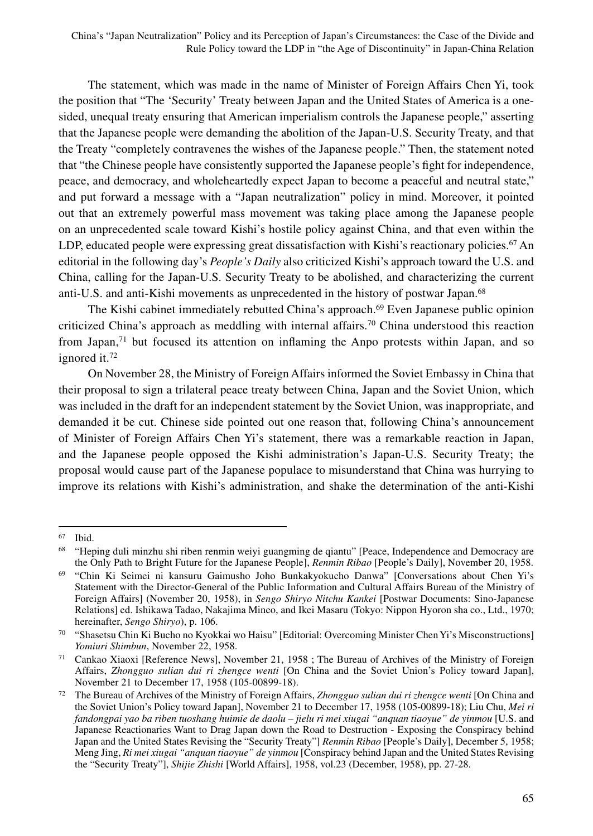The statement, which was made in the name of Minister of Foreign Affairs Chen Yi, took the position that "The 'Security' Treaty between Japan and the United States of America is a onesided, unequal treaty ensuring that American imperialism controls the Japanese people," asserting that the Japanese people were demanding the abolition of the Japan-U.S. Security Treaty, and that the Treaty "completely contravenes the wishes of the Japanese people." Then, the statement noted that "the Chinese people have consistently supported the Japanese people's fight for independence, peace, and democracy, and wholeheartedly expect Japan to become a peaceful and neutral state," and put forward a message with a "Japan neutralization" policy in mind. Moreover, it pointed out that an extremely powerful mass movement was taking place among the Japanese people on an unprecedented scale toward Kishi's hostile policy against China, and that even within the LDP, educated people were expressing great dissatisfaction with Kishi's reactionary policies.<sup>67</sup> An editorial in the following day's *People's Daily* also criticized Kishi's approach toward the U.S. and China, calling for the Japan-U.S. Security Treaty to be abolished, and characterizing the current anti-U.S. and anti-Kishi movements as unprecedented in the history of postwar Japan.68

The Kishi cabinet immediately rebutted China's approach.<sup>69</sup> Even Japanese public opinion criticized China's approach as meddling with internal affairs.<sup>70</sup> China understood this reaction from Japan, $71$  but focused its attention on inflaming the Anpo protests within Japan, and so ignored it.72

On November 28, the Ministry of Foreign Affairs informed the Soviet Embassy in China that their proposal to sign a trilateral peace treaty between China, Japan and the Soviet Union, which was included in the draft for an independent statement by the Soviet Union, was inappropriate, and demanded it be cut. Chinese side pointed out one reason that, following China's announcement of Minister of Foreign Affairs Chen Yi's statement, there was a remarkable reaction in Japan, and the Japanese people opposed the Kishi administration's Japan-U.S. Security Treaty; the proposal would cause part of the Japanese populace to misunderstand that China was hurrying to improve its relations with Kishi's administration, and shake the determination of the anti-Kishi

<sup>67</sup> Ibid.

<sup>68</sup> "Heping duli minzhu shi riben renmin weiyi guangming de qiantu" [Peace, Independence and Democracy are the Only Path to Bright Future for the Japanese People], *Renmin Ribao* [People's Daily], November 20, 1958.

<sup>69</sup> "Chin Ki Seimei ni kansuru Gaimusho Joho Bunkakyokucho Danwa" [Conversations about Chen Yi's Statement with the Director-General of the Public Information and Cultural Affairs Bureau of the Ministry of Foreign Affairs] (November 20, 1958), in *Sengo Shiryo Nitchu Kankei* [Postwar Documents: Sino-Japanese Relations] ed. Ishikawa Tadao, Nakajima Mineo, and Ikei Masaru (Tokyo: Nippon Hyoron sha co., Ltd., 1970; hereinafter, *Sengo Shiryo*), p. 106.

<sup>70</sup> "Shasetsu Chin Ki Bucho no Kyokkai wo Haisu" [Editorial: Overcoming Minister Chen Yi's Misconstructions] *Yomiuri Shimbun*, November 22, 1958.

<sup>71</sup> Cankao Xiaoxi [Reference News], November 21, 1958 ; The Bureau of Archives of the Ministry of Foreign Affairs, *Zhongguo sulian dui ri zhengce wenti* [On China and the Soviet Union's Policy toward Japan], November 21 to December 17, 1958 (105-00899-18).

<sup>72</sup> The Bureau of Archives of the Ministry of Foreign Affairs, *Zhongguo sulian dui ri zhengce wenti* [On China and the Soviet Union's Policy toward Japan], November 21 to December 17, 1958 (105-00899-18); Liu Chu, *Mei ri fandongpai yao ba riben tuoshang huimie de daolu – jielu ri mei xiugai "anquan tiaoyue" de yinmou* [U.S. and Japanese Reactionaries Want to Drag Japan down the Road to Destruction - Exposing the Conspiracy behind Japan and the United States Revising the "Security Treaty"] *Renmin Ribao* [People's Daily], December 5, 1958; Meng Jing, *Ri mei xiugai "anquan tiaoyue" de yinmou* [Conspiracy behind Japan and the United States Revising the "Security Treaty"], *Shijie Zhishi* [World Affairs], 1958, vol.23 (December, 1958), pp. 27-28.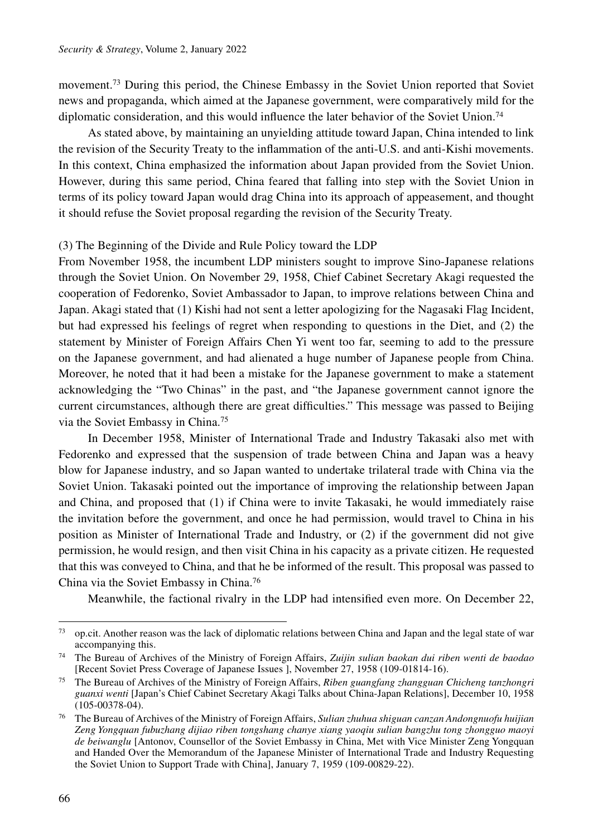movement.73 During this period, the Chinese Embassy in the Soviet Union reported that Soviet news and propaganda, which aimed at the Japanese government, were comparatively mild for the diplomatic consideration, and this would influence the later behavior of the Soviet Union.<sup>74</sup>

As stated above, by maintaining an unyielding attitude toward Japan, China intended to link the revision of the Security Treaty to the inflammation of the anti-U.S. and anti-Kishi movements. In this context, China emphasized the information about Japan provided from the Soviet Union. However, during this same period, China feared that falling into step with the Soviet Union in terms of its policy toward Japan would drag China into its approach of appeasement, and thought it should refuse the Soviet proposal regarding the revision of the Security Treaty.

#### (3) The Beginning of the Divide and Rule Policy toward the LDP

From November 1958, the incumbent LDP ministers sought to improve Sino-Japanese relations through the Soviet Union. On November 29, 1958, Chief Cabinet Secretary Akagi requested the cooperation of Fedorenko, Soviet Ambassador to Japan, to improve relations between China and Japan. Akagi stated that (1) Kishi had not sent a letter apologizing for the Nagasaki Flag Incident, but had expressed his feelings of regret when responding to questions in the Diet, and (2) the statement by Minister of Foreign Affairs Chen Yi went too far, seeming to add to the pressure on the Japanese government, and had alienated a huge number of Japanese people from China. Moreover, he noted that it had been a mistake for the Japanese government to make a statement acknowledging the "Two Chinas" in the past, and "the Japanese government cannot ignore the current circumstances, although there are great difficulties." This message was passed to Beijing via the Soviet Embassy in China.75

In December 1958, Minister of International Trade and Industry Takasaki also met with Fedorenko and expressed that the suspension of trade between China and Japan was a heavy blow for Japanese industry, and so Japan wanted to undertake trilateral trade with China via the Soviet Union. Takasaki pointed out the importance of improving the relationship between Japan and China, and proposed that (1) if China were to invite Takasaki, he would immediately raise the invitation before the government, and once he had permission, would travel to China in his position as Minister of International Trade and Industry, or (2) if the government did not give permission, he would resign, and then visit China in his capacity as a private citizen. He requested that this was conveyed to China, and that he be informed of the result. This proposal was passed to China via the Soviet Embassy in China.76

Meanwhile, the factional rivalry in the LDP had intensified even more. On December 22,

 $73$  op.cit. Another reason was the lack of diplomatic relations between China and Japan and the legal state of war accompanying this.

<sup>74</sup> The Bureau of Archives of the Ministry of Foreign Affairs, *Zuijin sulian baokan dui riben wenti de baodao* [Recent Soviet Press Coverage of Japanese Issues ], November 27, 1958 (109-01814-16).

<sup>75</sup> The Bureau of Archives of the Ministry of Foreign Affairs, *Riben guangfang zhangguan Chicheng tanzhongri guanxi wenti* [Japan's Chief Cabinet Secretary Akagi Talks about China-Japan Relations], December 10, 1958 (105-00378-04).

<sup>76</sup> The Bureau of Archives of the Ministry of Foreign Affairs, *Sulian zhuhua shiguan canzan Andongnuofu huijian Zeng Yongquan fubuzhang dijiao riben tongshang chanye xiang yaoqiu sulian bangzhu tong zhongguo maoyi de beiwanglu* [Antonov, Counsellor of the Soviet Embassy in China, Met with Vice Minister Zeng Yongquan and Handed Over the Memorandum of the Japanese Minister of International Trade and Industry Requesting the Soviet Union to Support Trade with China], January 7, 1959 (109-00829-22).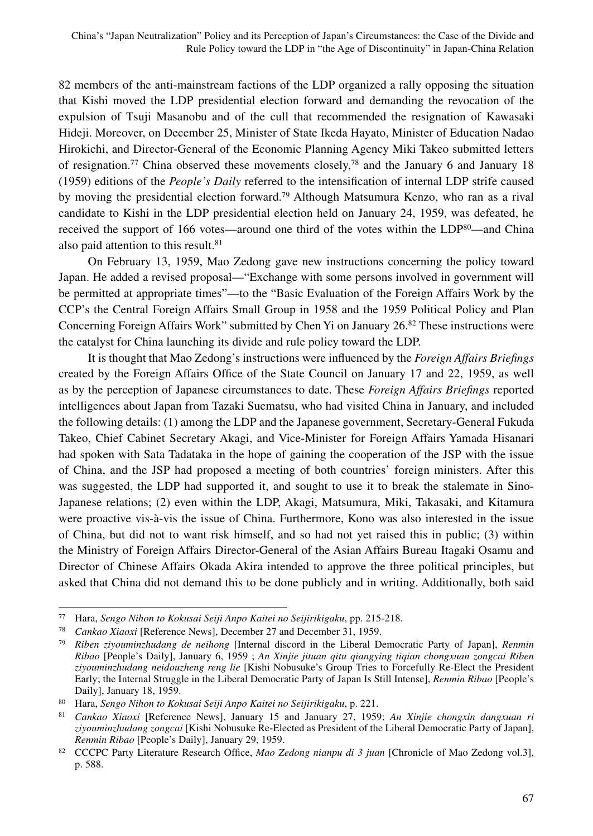82 members of the anti-mainstream factions of the LDP organized a rally opposing the situation that Kishi moved the LDP presidential election forward and demanding the revocation of the expulsion of Tsuji Masanobu and of the cull that recommended the resignation of Kawasaki Hideji. Moreover, on December 25, Minister of State Ikeda Hayato, Minister of Education Nadao Hirokichi, and Director-General of the Economic Planning Agency Miki Takeo submitted letters of resignation.<sup>77</sup> China observed these movements closely,<sup>78</sup> and the January 6 and January 18 (1959) editions of the *People's Daily* referred to the intensification of internal LDP strife caused by moving the presidential election forward.79 Although Matsumura Kenzo, who ran as a rival candidate to Kishi in the LDP presidential election held on January 24, 1959, was defeated, he received the support of 166 votes—around one third of the votes within the LDP<sup>80</sup>—and China also paid attention to this result.<sup>81</sup>

On February 13, 1959, Mao Zedong gave new instructions concerning the policy toward Japan. He added a revised proposal—"Exchange with some persons involved in government will be permitted at appropriate times"—to the "Basic Evaluation of the Foreign Affairs Work by the CCP's the Central Foreign Affairs Small Group in 1958 and the 1959 Political Policy and Plan Concerning Foreign Affairs Work" submitted by Chen Yi on January 26.82 These instructions were the catalyst for China launching its divide and rule policy toward the LDP.

It is thought that Mao Zedong's instructions were influenced by the *Foreign Affairs Briefings* created by the Foreign Affairs Office of the State Council on January 17 and 22, 1959, as well as by the perception of Japanese circumstances to date. These *Foreign Affairs Briefings* reported intelligences about Japan from Tazaki Suematsu, who had visited China in January, and included the following details: (1) among the LDP and the Japanese government, Secretary-General Fukuda Takeo, Chief Cabinet Secretary Akagi, and Vice-Minister for Foreign Affairs Yamada Hisanari had spoken with Sata Tadataka in the hope of gaining the cooperation of the JSP with the issue of China, and the JSP had proposed a meeting of both countries' foreign ministers. After this was suggested, the LDP had supported it, and sought to use it to break the stalemate in Sino-Japanese relations; (2) even within the LDP, Akagi, Matsumura, Miki, Takasaki, and Kitamura were proactive vis-à-vis the issue of China. Furthermore, Kono was also interested in the issue of China, but did not to want risk himself, and so had not yet raised this in public; (3) within the Ministry of Foreign Affairs Director-General of the Asian Affairs Bureau Itagaki Osamu and Director of Chinese Affairs Okada Akira intended to approve the three political principles, but asked that China did not demand this to be done publicly and in writing. Additionally, both said

<sup>77</sup> Hara, *Sengo Nihon to Kokusai Seiji Anpo Kaitei no Seijirikigaku*, pp. 215-218.

<sup>78</sup> *Cankao Xiaoxi* [Reference News], December 27 and December 31, 1959.

<sup>79</sup> *Riben ziyouminzhudang de neihong* [Internal discord in the Liberal Democratic Party of Japan], *Renmin Ribao* [People's Daily], January 6, 1959 ; *An Xinjie jituan qitu qiangying tiqian chongxuan zongcai Riben ziyouminzhudang neidouzheng reng lie* [Kishi Nobusuke's Group Tries to Forcefully Re-Elect the President Early; the Internal Struggle in the Liberal Democratic Party of Japan Is Still Intense], *Renmin Ribao* [People's Daily], January 18, 1959.

<sup>80</sup> Hara, *Sengo Nihon to Kokusai Seiji Anpo Kaitei no Seijirikigaku*, p. 221.

<sup>81</sup> *Cankao Xiaoxi* [Reference News], January 15 and January 27, 1959; *An Xinjie chongxin dangxuan ri ziyouminzhudang zongcai* [Kishi Nobusuke Re-Elected as President of the Liberal Democratic Party of Japan], *Renmin Ribao* [People's Daily], January 29, 1959.

<sup>82</sup> CCCPC Party Literature Research Office, *Mao Zedong nianpu di 3 juan* [Chronicle of Mao Zedong vol.3], p. 588.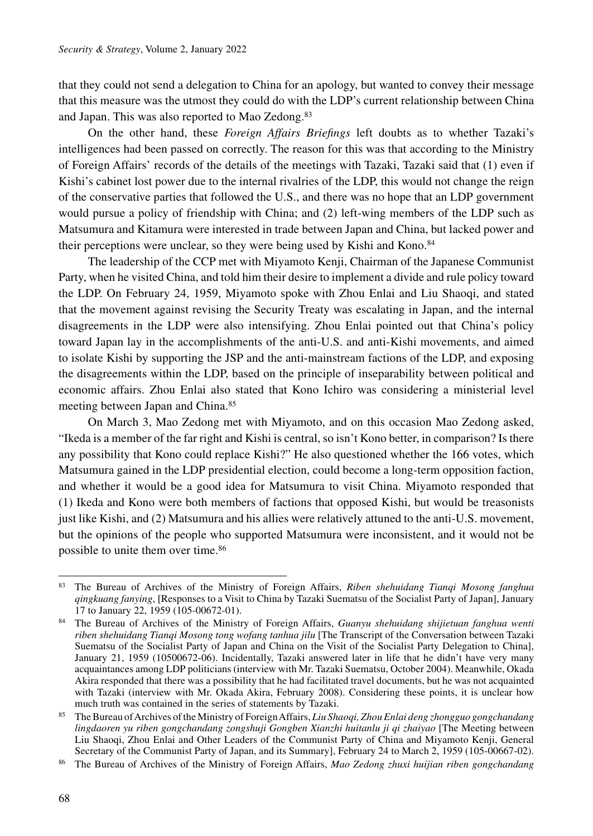that they could not send a delegation to China for an apology, but wanted to convey their message that this measure was the utmost they could do with the LDP's current relationship between China and Japan. This was also reported to Mao Zedong.<sup>83</sup>

On the other hand, these *Foreign Affairs Briefings* left doubts as to whether Tazaki's intelligences had been passed on correctly. The reason for this was that according to the Ministry of Foreign Affairs' records of the details of the meetings with Tazaki, Tazaki said that (1) even if Kishi's cabinet lost power due to the internal rivalries of the LDP, this would not change the reign of the conservative parties that followed the U.S., and there was no hope that an LDP government would pursue a policy of friendship with China; and (2) left-wing members of the LDP such as Matsumura and Kitamura were interested in trade between Japan and China, but lacked power and their perceptions were unclear, so they were being used by Kishi and Kono.<sup>84</sup>

The leadership of the CCP met with Miyamoto Kenji, Chairman of the Japanese Communist Party, when he visited China, and told him their desire to implement a divide and rule policy toward the LDP. On February 24, 1959, Miyamoto spoke with Zhou Enlai and Liu Shaoqi, and stated that the movement against revising the Security Treaty was escalating in Japan, and the internal disagreements in the LDP were also intensifying. Zhou Enlai pointed out that China's policy toward Japan lay in the accomplishments of the anti-U.S. and anti-Kishi movements, and aimed to isolate Kishi by supporting the JSP and the anti-mainstream factions of the LDP, and exposing the disagreements within the LDP, based on the principle of inseparability between political and economic affairs. Zhou Enlai also stated that Kono Ichiro was considering a ministerial level meeting between Japan and China.85

On March 3, Mao Zedong met with Miyamoto, and on this occasion Mao Zedong asked, "Ikeda is a member of the far right and Kishi is central, so isn't Kono better, in comparison? Is there any possibility that Kono could replace Kishi?" He also questioned whether the 166 votes, which Matsumura gained in the LDP presidential election, could become a long-term opposition faction, and whether it would be a good idea for Matsumura to visit China. Miyamoto responded that (1) Ikeda and Kono were both members of factions that opposed Kishi, but would be treasonists just like Kishi, and (2) Matsumura and his allies were relatively attuned to the anti-U.S. movement, but the opinions of the people who supported Matsumura were inconsistent, and it would not be possible to unite them over time.86

<sup>83</sup> The Bureau of Archives of the Ministry of Foreign Affairs, *Riben shehuidang Tianqi Mosong fanghua qingkuang fanying*, [Responses to a Visit to China by Tazaki Suematsu of the Socialist Party of Japan], January 17 to January 22, 1959 (105-00672-01).

<sup>84</sup> The Bureau of Archives of the Ministry of Foreign Affairs, *Guanyu shehuidang shijietuan fanghua wenti riben shehuidang Tianqi Mosong tong wofang tanhua jilu* [The Transcript of the Conversation between Tazaki Suematsu of the Socialist Party of Japan and China on the Visit of the Socialist Party Delegation to China], January 21, 1959 (10500672-06). Incidentally, Tazaki answered later in life that he didn't have very many acquaintances among LDP politicians (interview with Mr. Tazaki Suematsu, October 2004). Meanwhile, Okada Akira responded that there was a possibility that he had facilitated travel documents, but he was not acquainted with Tazaki (interview with Mr. Okada Akira, February 2008). Considering these points, it is unclear how much truth was contained in the series of statements by Tazaki.

<sup>85</sup> The Bureau of Archives of the Ministry of Foreign Affairs, *Liu Shaoqi, Zhou Enlai deng zhongguo gongchandang lingdaoren yu riben gongchandang zongshuji Gongben Xianzhi huitanlu ji qi zhaiyao* [The Meeting between Liu Shaoqi, Zhou Enlai and Other Leaders of the Communist Party of China and Miyamoto Kenji, General Secretary of the Communist Party of Japan, and its Summary], February 24 to March 2, 1959 (105-00667-02).

<sup>86</sup> The Bureau of Archives of the Ministry of Foreign Affairs, *Mao Zedong zhuxi huijian riben gongchandang*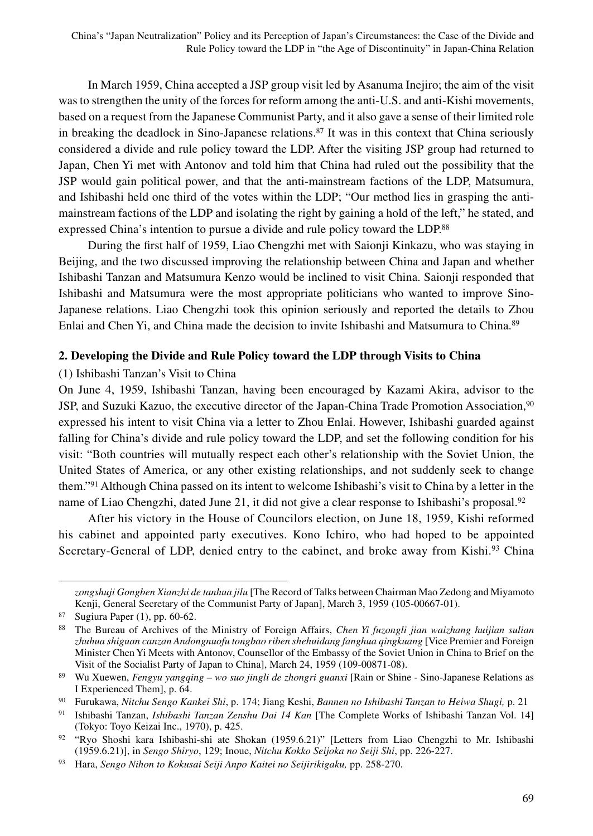In March 1959, China accepted a JSP group visit led by Asanuma Inejiro; the aim of the visit was to strengthen the unity of the forces for reform among the anti-U.S. and anti-Kishi movements, based on a request from the Japanese Communist Party, and it also gave a sense of their limited role in breaking the deadlock in Sino-Japanese relations.<sup>87</sup> It was in this context that China seriously considered a divide and rule policy toward the LDP. After the visiting JSP group had returned to Japan, Chen Yi met with Antonov and told him that China had ruled out the possibility that the JSP would gain political power, and that the anti-mainstream factions of the LDP, Matsumura, and Ishibashi held one third of the votes within the LDP; "Our method lies in grasping the antimainstream factions of the LDP and isolating the right by gaining a hold of the left," he stated, and expressed China's intention to pursue a divide and rule policy toward the LDP.<sup>88</sup>

During the first half of 1959, Liao Chengzhi met with Saionji Kinkazu, who was staying in Beijing, and the two discussed improving the relationship between China and Japan and whether Ishibashi Tanzan and Matsumura Kenzo would be inclined to visit China. Saionji responded that Ishibashi and Matsumura were the most appropriate politicians who wanted to improve Sino-Japanese relations. Liao Chengzhi took this opinion seriously and reported the details to Zhou Enlai and Chen Yi, and China made the decision to invite Ishibashi and Matsumura to China.<sup>89</sup>

## **2. Developing the Divide and Rule Policy toward the LDP through Visits to China**

## (1) Ishibashi Tanzan's Visit to China

On June 4, 1959, Ishibashi Tanzan, having been encouraged by Kazami Akira, advisor to the JSP, and Suzuki Kazuo, the executive director of the Japan-China Trade Promotion Association,<sup>90</sup> expressed his intent to visit China via a letter to Zhou Enlai. However, Ishibashi guarded against falling for China's divide and rule policy toward the LDP, and set the following condition for his visit: "Both countries will mutually respect each other's relationship with the Soviet Union, the United States of America, or any other existing relationships, and not suddenly seek to change them."91 Although China passed on its intent to welcome Ishibashi's visit to China by a letter in the name of Liao Chengzhi, dated June 21, it did not give a clear response to Ishibashi's proposal.<sup>92</sup>

After his victory in the House of Councilors election, on June 18, 1959, Kishi reformed his cabinet and appointed party executives. Kono Ichiro, who had hoped to be appointed Secretary-General of LDP, denied entry to the cabinet, and broke away from Kishi.<sup>93</sup> China

*zongshuji Gongben Xianzhi de tanhua jilu* [The Record of Talks between Chairman Mao Zedong and Miyamoto Kenji, General Secretary of the Communist Party of Japan], March 3, 1959 (105-00667-01).

<sup>87</sup> Sugiura Paper (1), pp. 60-62.

<sup>88</sup> The Bureau of Archives of the Ministry of Foreign Affairs, *Chen Yi fuzongli jian waizhang huijian sulian zhuhua shiguan canzan Andongnuofu tongbao riben shehuidang fanghua qingkuang* [Vice Premier and Foreign Minister Chen Yi Meets with Antonov, Counsellor of the Embassy of the Soviet Union in China to Brief on the Visit of the Socialist Party of Japan to China], March 24, 1959 (109-00871-08).

<sup>89</sup> Wu Xuewen, *Fengyu yangqing – wo suo jingli de zhongri guanxi* [Rain or Shine - Sino-Japanese Relations as I Experienced Them], p. 64.

<sup>90</sup> Furukawa, *Nitchu Sengo Kankei Shi*, p. 174; Jiang Keshi, *Bannen no Ishibashi Tanzan to Heiwa Shugi,* p. 21

<sup>91</sup> Ishibashi Tanzan, *Ishibashi Tanzan Zenshu Dai 14 Kan* [The Complete Works of Ishibashi Tanzan Vol. 14] (Tokyo: Toyo Keizai Inc., 1970), p. 425.

<sup>92</sup> "Ryo Shoshi kara Ishibashi-shi ate Shokan (1959.6.21)" [Letters from Liao Chengzhi to Mr. Ishibashi (1959.6.21)], in *Sengo Shiryo*, 129; Inoue, *Nitchu Kokko Seijoka no Seiji Shi*, pp. 226-227.

<sup>93</sup> Hara, *Sengo Nihon to Kokusai Seiji Anpo Kaitei no Seijirikigaku,* pp. 258-270.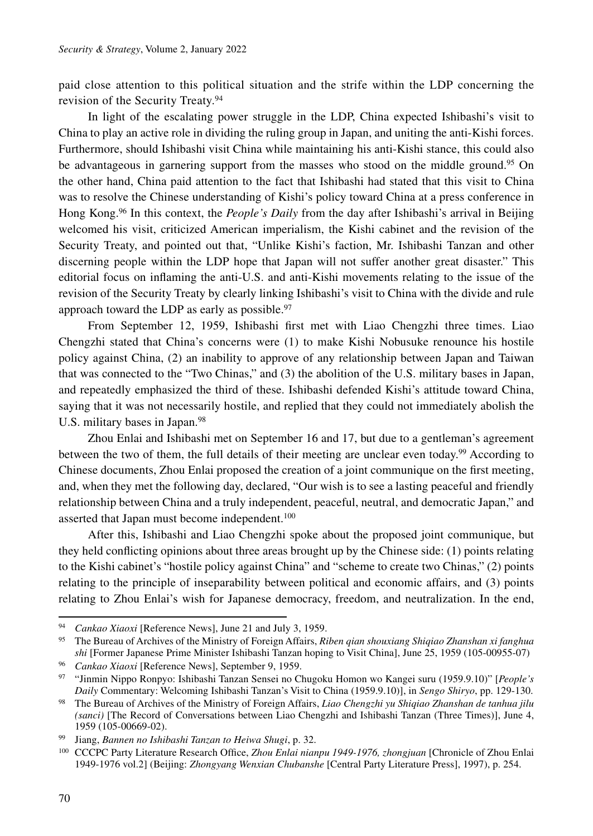paid close attention to this political situation and the strife within the LDP concerning the revision of the Security Treaty.94

In light of the escalating power struggle in the LDP, China expected Ishibashi's visit to China to play an active role in dividing the ruling group in Japan, and uniting the anti-Kishi forces. Furthermore, should Ishibashi visit China while maintaining his anti-Kishi stance, this could also be advantageous in garnering support from the masses who stood on the middle ground.<sup>95</sup> On the other hand, China paid attention to the fact that Ishibashi had stated that this visit to China was to resolve the Chinese understanding of Kishi's policy toward China at a press conference in Hong Kong.96 In this context, the *People's Daily* from the day after Ishibashi's arrival in Beijing welcomed his visit, criticized American imperialism, the Kishi cabinet and the revision of the Security Treaty, and pointed out that, "Unlike Kishi's faction, Mr. Ishibashi Tanzan and other discerning people within the LDP hope that Japan will not suffer another great disaster." This editorial focus on inflaming the anti-U.S. and anti-Kishi movements relating to the issue of the revision of the Security Treaty by clearly linking Ishibashi's visit to China with the divide and rule approach toward the LDP as early as possible. $97$ 

From September 12, 1959, Ishibashi first met with Liao Chengzhi three times. Liao Chengzhi stated that China's concerns were (1) to make Kishi Nobusuke renounce his hostile policy against China, (2) an inability to approve of any relationship between Japan and Taiwan that was connected to the "Two Chinas," and (3) the abolition of the U.S. military bases in Japan, and repeatedly emphasized the third of these. Ishibashi defended Kishi's attitude toward China, saying that it was not necessarily hostile, and replied that they could not immediately abolish the U.S. military bases in Japan.<sup>98</sup>

Zhou Enlai and Ishibashi met on September 16 and 17, but due to a gentleman's agreement between the two of them, the full details of their meeting are unclear even today.99 According to Chinese documents, Zhou Enlai proposed the creation of a joint communique on the first meeting, and, when they met the following day, declared, "Our wish is to see a lasting peaceful and friendly relationship between China and a truly independent, peaceful, neutral, and democratic Japan," and asserted that Japan must become independent.<sup>100</sup>

After this, Ishibashi and Liao Chengzhi spoke about the proposed joint communique, but they held conflicting opinions about three areas brought up by the Chinese side: (1) points relating to the Kishi cabinet's "hostile policy against China" and "scheme to create two Chinas," (2) points relating to the principle of inseparability between political and economic affairs, and (3) points relating to Zhou Enlai's wish for Japanese democracy, freedom, and neutralization. In the end,

<sup>94</sup> *Cankao Xiaoxi* [Reference News], June 21 and July 3, 1959.

<sup>95</sup> The Bureau of Archives of the Ministry of Foreign Affairs, *Riben qian shouxiang Shiqiao Zhanshan xi fanghua shi* [Former Japanese Prime Minister Ishibashi Tanzan hoping to Visit China], June 25, 1959 (105-00955-07)

<sup>96</sup> *Cankao Xiaoxi* [Reference News], September 9, 1959.

<sup>97</sup> "Jinmin Nippo Ronpyo: Ishibashi Tanzan Sensei no Chugoku Homon wo Kangei suru (1959.9.10)" [*People's Daily* Commentary: Welcoming Ishibashi Tanzan's Visit to China (1959.9.10)], in *Sengo Shiryo*, pp. 129-130.

<sup>98</sup> The Bureau of Archives of the Ministry of Foreign Affairs, *Liao Chengzhi yu Shiqiao Zhanshan de tanhua jilu (sanci)* [The Record of Conversations between Liao Chengzhi and Ishibashi Tanzan (Three Times)], June 4, 1959 (105-00669-02).

<sup>99</sup> Jiang, *Bannen no Ishibashi Tanzan to Heiwa Shugi*, p. 32.

<sup>100</sup> CCCPC Party Literature Research Office, *Zhou Enlai nianpu 1949-1976, zhongjuan* [Chronicle of Zhou Enlai 1949-1976 vol.2] (Beijing: *Zhongyang Wenxian Chubanshe* [Central Party Literature Press], 1997), p. 254.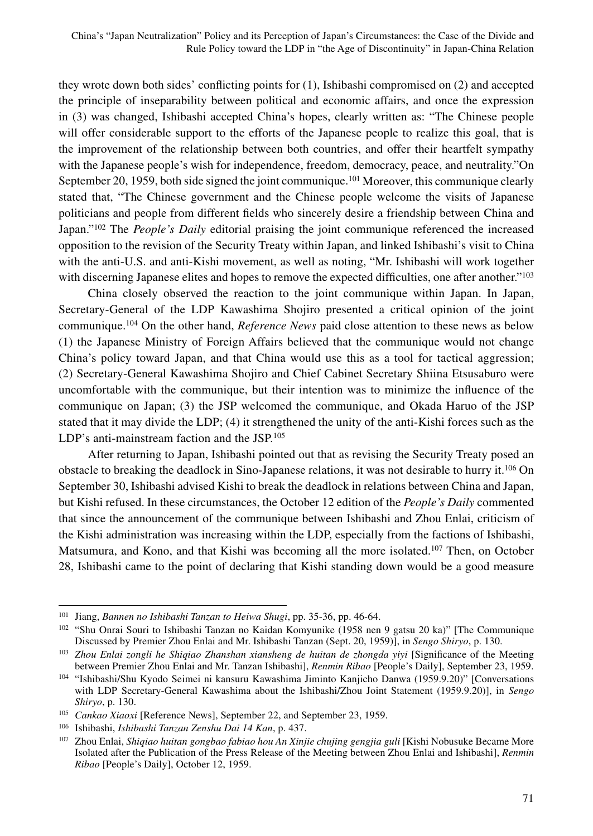they wrote down both sides' conflicting points for (1), Ishibashi compromised on (2) and accepted the principle of inseparability between political and economic affairs, and once the expression in (3) was changed, Ishibashi accepted China's hopes, clearly written as: "The Chinese people will offer considerable support to the efforts of the Japanese people to realize this goal, that is the improvement of the relationship between both countries, and offer their heartfelt sympathy with the Japanese people's wish for independence, freedom, democracy, peace, and neutrality."On September 20, 1959, both side signed the joint communique.<sup>101</sup> Moreover, this communique clearly stated that, "The Chinese government and the Chinese people welcome the visits of Japanese politicians and people from different fields who sincerely desire a friendship between China and Japan."102 The *People's Daily* editorial praising the joint communique referenced the increased opposition to the revision of the Security Treaty within Japan, and linked Ishibashi's visit to China with the anti-U.S. and anti-Kishi movement, as well as noting, "Mr. Ishibashi will work together with discerning Japanese elites and hopes to remove the expected difficulties, one after another."<sup>103</sup>

China closely observed the reaction to the joint communique within Japan. In Japan, Secretary-General of the LDP Kawashima Shojiro presented a critical opinion of the joint communique.104 On the other hand, *Reference News* paid close attention to these news as below (1) the Japanese Ministry of Foreign Affairs believed that the communique would not change China's policy toward Japan, and that China would use this as a tool for tactical aggression; (2) Secretary-General Kawashima Shojiro and Chief Cabinet Secretary Shiina Etsusaburo were uncomfortable with the communique, but their intention was to minimize the influence of the communique on Japan; (3) the JSP welcomed the communique, and Okada Haruo of the JSP stated that it may divide the LDP; (4) it strengthened the unity of the anti-Kishi forces such as the LDP's anti-mainstream faction and the JSP.105

After returning to Japan, Ishibashi pointed out that as revising the Security Treaty posed an obstacle to breaking the deadlock in Sino-Japanese relations, it was not desirable to hurry it.106 On September 30, Ishibashi advised Kishi to break the deadlock in relations between China and Japan, but Kishi refused. In these circumstances, the October 12 edition of the *People's Daily* commented that since the announcement of the communique between Ishibashi and Zhou Enlai, criticism of the Kishi administration was increasing within the LDP, especially from the factions of Ishibashi, Matsumura, and Kono, and that Kishi was becoming all the more isolated.107 Then, on October 28, Ishibashi came to the point of declaring that Kishi standing down would be a good measure

<sup>101</sup> Jiang, *Bannen no Ishibashi Tanzan to Heiwa Shugi*, pp. 35-36, pp. 46-64.

<sup>102</sup> "Shu Onrai Souri to Ishibashi Tanzan no Kaidan Komyunike (1958 nen 9 gatsu 20 ka)" [The Communique Discussed by Premier Zhou Enlai and Mr. Ishibashi Tanzan (Sept. 20, 1959)], in *Sengo Shiryo*, p. 130.

<sup>103</sup> *Zhou Enlai zongli he Shiqiao Zhanshan xiansheng de huitan de zhongda yiyi* [Significance of the Meeting between Premier Zhou Enlai and Mr. Tanzan Ishibashi], *Renmin Ribao* [People's Daily], September 23, 1959.

<sup>104</sup> "Ishibashi/Shu Kyodo Seimei ni kansuru Kawashima Jiminto Kanjicho Danwa (1959.9.20)" [Conversations with LDP Secretary-General Kawashima about the Ishibashi/Zhou Joint Statement (1959.9.20)], in *Sengo Shiryo*, p. 130.

<sup>105</sup> *Cankao Xiaoxi* [Reference News], September 22, and September 23, 1959.

<sup>106</sup> Ishibashi, *Ishibashi Tanzan Zenshu Dai 14 Kan*, p. 437.

<sup>107</sup> Zhou Enlai, *Shiqiao huitan gongbao fabiao hou An Xinjie chujing gengjia guli* [Kishi Nobusuke Became More Isolated after the Publication of the Press Release of the Meeting between Zhou Enlai and Ishibashi], *Renmin Ribao* [People's Daily], October 12, 1959.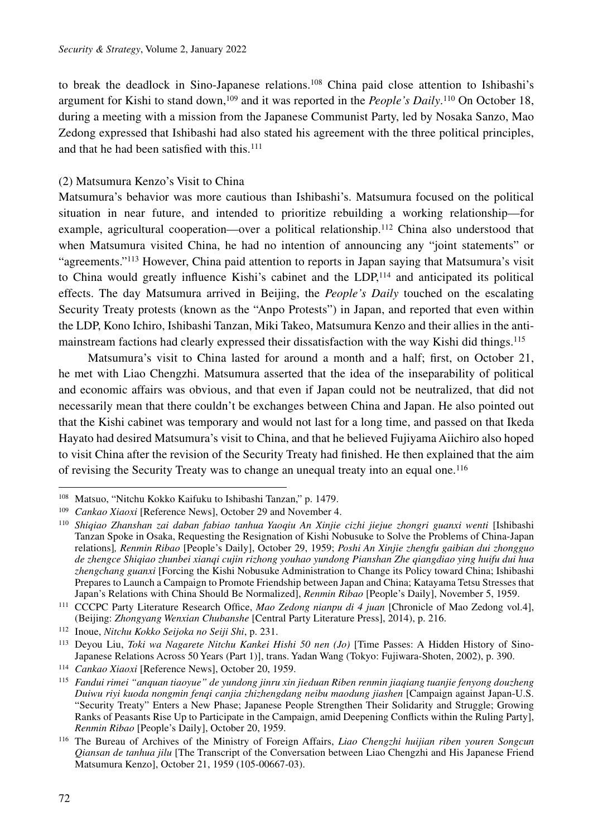to break the deadlock in Sino-Japanese relations.108 China paid close attention to Ishibashi's argument for Kishi to stand down,109 and it was reported in the *People's Daily*. 110 On October 18, during a meeting with a mission from the Japanese Communist Party, led by Nosaka Sanzo, Mao Zedong expressed that Ishibashi had also stated his agreement with the three political principles, and that he had been satisfied with this.<sup>111</sup>

#### (2) Matsumura Kenzo's Visit to China

Matsumura's behavior was more cautious than Ishibashi's. Matsumura focused on the political situation in near future, and intended to prioritize rebuilding a working relationship—for example, agricultural cooperation—over a political relationship.<sup>112</sup> China also understood that when Matsumura visited China, he had no intention of announcing any "joint statements" or "agreements."113 However, China paid attention to reports in Japan saying that Matsumura's visit to China would greatly influence Kishi's cabinet and the LDP,114 and anticipated its political effects. The day Matsumura arrived in Beijing, the *People's Daily* touched on the escalating Security Treaty protests (known as the "Anpo Protests") in Japan, and reported that even within the LDP, Kono Ichiro, Ishibashi Tanzan, Miki Takeo, Matsumura Kenzo and their allies in the antimainstream factions had clearly expressed their dissatisfaction with the way Kishi did things.115

Matsumura's visit to China lasted for around a month and a half; first, on October 21, he met with Liao Chengzhi. Matsumura asserted that the idea of the inseparability of political and economic affairs was obvious, and that even if Japan could not be neutralized, that did not necessarily mean that there couldn't be exchanges between China and Japan. He also pointed out that the Kishi cabinet was temporary and would not last for a long time, and passed on that Ikeda Hayato had desired Matsumura's visit to China, and that he believed Fujiyama Aiichiro also hoped to visit China after the revision of the Security Treaty had finished. He then explained that the aim of revising the Security Treaty was to change an unequal treaty into an equal one.116

<sup>108</sup> Matsuo, "Nitchu Kokko Kaifuku to Ishibashi Tanzan," p. 1479.

<sup>109</sup> *Cankao Xiaoxi* [Reference News], October 29 and November 4.

<sup>110</sup> *Shiqiao Zhanshan zai daban fabiao tanhua Yaoqiu An Xinjie cizhi jiejue zhongri guanxi wenti* [Ishibashi Tanzan Spoke in Osaka, Requesting the Resignation of Kishi Nobusuke to Solve the Problems of China-Japan relations]*, Renmin Ribao* [People's Daily], October 29, 1959; *Poshi An Xinjie zhengfu gaibian dui zhongguo de zhengce Shiqiao zhunbei xianqi cujin rizhong youhao yundong Pianshan Zhe qiangdiao ying huifu dui hua zhengchang guanxi* [Forcing the Kishi Nobusuke Administration to Change its Policy toward China; Ishibashi Prepares to Launch a Campaign to Promote Friendship between Japan and China; Katayama Tetsu Stresses that Japan's Relations with China Should Be Normalized], *Renmin Ribao* [People's Daily], November 5, 1959.

<sup>111</sup> CCCPC Party Literature Research Office, *Mao Zedong nianpu di 4 juan* [Chronicle of Mao Zedong vol.4], (Beijing: *Zhongyang Wenxian Chubanshe* [Central Party Literature Press], 2014), p. 216.

<sup>112</sup> Inoue, *Nitchu Kokko Seijoka no Seiji Shi*, p. 231.

<sup>113</sup> Deyou Liu, *Toki wa Nagarete Nitchu Kankei Hishi 50 nen (Jo)* [Time Passes: A Hidden History of Sino-Japanese Relations Across 50 Years (Part 1)], trans. Yadan Wang (Tokyo: Fujiwara-Shoten, 2002), p. 390.

<sup>114</sup> *Cankao Xiaoxi* [Reference News], October 20, 1959.

<sup>115</sup> *Fandui rimei "anquan tiaoyue" de yundong jinru xin jieduan Riben renmin jiaqiang tuanjie fenyong douzheng Duiwu riyi kuoda nongmin fenqi canjia zhizhengdang neibu maodung jiashen* [Campaign against Japan-U.S. "Security Treaty" Enters a New Phase; Japanese People Strengthen Their Solidarity and Struggle; Growing Ranks of Peasants Rise Up to Participate in the Campaign, amid Deepening Conflicts within the Ruling Party], *Renmin Ribao* [People's Daily], October 20, 1959.

<sup>116</sup> The Bureau of Archives of the Ministry of Foreign Affairs, *Liao Chengzhi huijian riben youren Songcun Qiansan de tanhua jilu* [The Transcript of the Conversation between Liao Chengzhi and His Japanese Friend Matsumura Kenzo], October 21, 1959 (105-00667-03).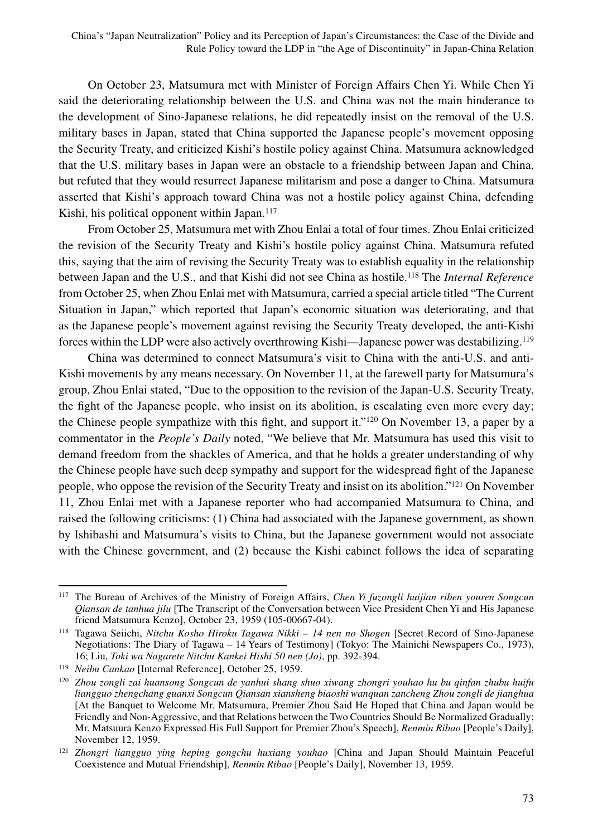On October 23, Matsumura met with Minister of Foreign Affairs Chen Yi. While Chen Yi said the deteriorating relationship between the U.S. and China was not the main hinderance to the development of Sino-Japanese relations, he did repeatedly insist on the removal of the U.S. military bases in Japan, stated that China supported the Japanese people's movement opposing the Security Treaty, and criticized Kishi's hostile policy against China. Matsumura acknowledged that the U.S. military bases in Japan were an obstacle to a friendship between Japan and China, but refuted that they would resurrect Japanese militarism and pose a danger to China. Matsumura asserted that Kishi's approach toward China was not a hostile policy against China, defending Kishi, his political opponent within Japan.<sup>117</sup>

From October 25, Matsumura met with Zhou Enlai a total of four times. Zhou Enlai criticized the revision of the Security Treaty and Kishi's hostile policy against China. Matsumura refuted this, saying that the aim of revising the Security Treaty was to establish equality in the relationship between Japan and the U.S., and that Kishi did not see China as hostile.118 The *Internal Reference* from October 25, when Zhou Enlai met with Matsumura, carried a special article titled "The Current Situation in Japan," which reported that Japan's economic situation was deteriorating, and that as the Japanese people's movement against revising the Security Treaty developed, the anti-Kishi forces within the LDP were also actively overthrowing Kishi—Japanese power was destabilizing.119

China was determined to connect Matsumura's visit to China with the anti-U.S. and anti-Kishi movements by any means necessary. On November 11, at the farewell party for Matsumura's group, Zhou Enlai stated, "Due to the opposition to the revision of the Japan-U.S. Security Treaty, the fight of the Japanese people, who insist on its abolition, is escalating even more every day; the Chinese people sympathize with this fight, and support it."120 On November 13, a paper by a commentator in the *People's Daily* noted, "We believe that Mr. Matsumura has used this visit to demand freedom from the shackles of America, and that he holds a greater understanding of why the Chinese people have such deep sympathy and support for the widespread fight of the Japanese people, who oppose the revision of the Security Treaty and insist on its abolition."121 On November 11, Zhou Enlai met with a Japanese reporter who had accompanied Matsumura to China, and raised the following criticisms: (1) China had associated with the Japanese government, as shown by Ishibashi and Matsumura's visits to China, but the Japanese government would not associate with the Chinese government, and (2) because the Kishi cabinet follows the idea of separating

<sup>117</sup> The Bureau of Archives of the Ministry of Foreign Affairs, *Chen Yi fuzongli huijian riben youren Songcun Qiansan de tanhua jilu* [The Transcript of the Conversation between Vice President Chen Yi and His Japanese friend Matsumura Kenzo], October 23, 1959 (105-00667-04).

<sup>118</sup> Tagawa Seiichi, *Nitchu Kosho Hiroku Tagawa Nikki – 14 nen no Shogen* [Secret Record of Sino-Japanese Negotiations: The Diary of Tagawa – 14 Years of Testimony] (Tokyo: The Mainichi Newspapers Co., 1973), 16; Liu, *Toki wa Nagarete Nitchu Kankei Hishi 50 nen (Jo)*, pp. 392-394.

<sup>119</sup> *Neibu Cankao* [Internal Reference], October 25, 1959.

<sup>120</sup> *Zhou zongli zai huansong Songcun de yanhui shang shuo xiwang zhongri youhao hu bu qinfan zhubu huifu liangguo zhengchang guanxi Songcun Qiansan xiansheng biaoshi wanquan zancheng Zhou zongli de jianghua* [At the Banquet to Welcome Mr. Matsumura, Premier Zhou Said He Hoped that China and Japan would be Friendly and Non-Aggressive, and that Relations between the Two Countries Should Be Normalized Gradually; Mr. Matsuura Kenzo Expressed His Full Support for Premier Zhou's Speech], *Renmin Ribao* [People's Daily], November 12, 1959.

<sup>121</sup> *Zhongri liangguo ying heping gongchu huxiang youhao* [China and Japan Should Maintain Peaceful Coexistence and Mutual Friendship], *Renmin Ribao* [People's Daily], November 13, 1959.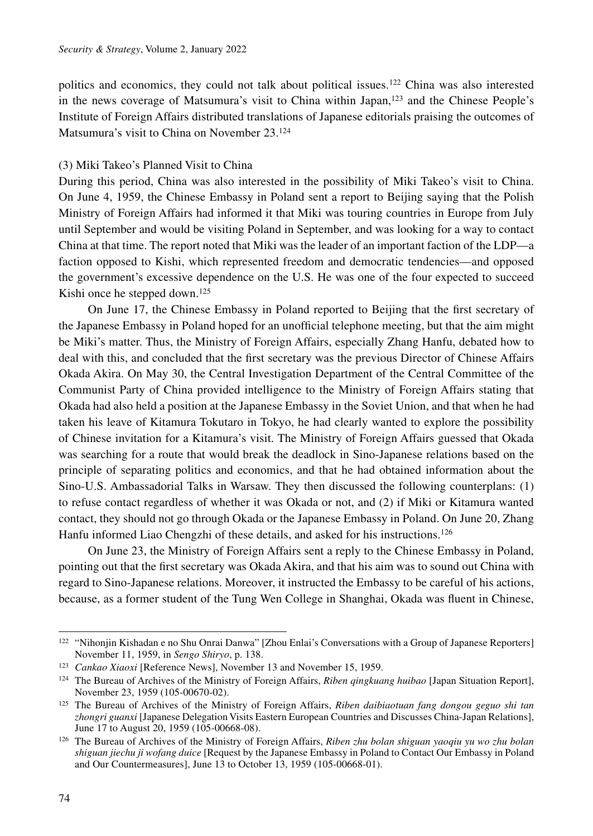politics and economics, they could not talk about political issues.122 China was also interested in the news coverage of Matsumura's visit to China within Japan,123 and the Chinese People's Institute of Foreign Affairs distributed translations of Japanese editorials praising the outcomes of Matsumura's visit to China on November 23.124

#### (3) Miki Takeo's Planned Visit to China

During this period, China was also interested in the possibility of Miki Takeo's visit to China. On June 4, 1959, the Chinese Embassy in Poland sent a report to Beijing saying that the Polish Ministry of Foreign Affairs had informed it that Miki was touring countries in Europe from July until September and would be visiting Poland in September, and was looking for a way to contact China at that time. The report noted that Miki was the leader of an important faction of the LDP—a faction opposed to Kishi, which represented freedom and democratic tendencies—and opposed the government's excessive dependence on the U.S. He was one of the four expected to succeed Kishi once he stepped down.<sup>125</sup>

On June 17, the Chinese Embassy in Poland reported to Beijing that the first secretary of the Japanese Embassy in Poland hoped for an unofficial telephone meeting, but that the aim might be Miki's matter. Thus, the Ministry of Foreign Affairs, especially Zhang Hanfu, debated how to deal with this, and concluded that the first secretary was the previous Director of Chinese Affairs Okada Akira. On May 30, the Central Investigation Department of the Central Committee of the Communist Party of China provided intelligence to the Ministry of Foreign Affairs stating that Okada had also held a position at the Japanese Embassy in the Soviet Union, and that when he had taken his leave of Kitamura Tokutaro in Tokyo, he had clearly wanted to explore the possibility of Chinese invitation for a Kitamura's visit. The Ministry of Foreign Affairs guessed that Okada was searching for a route that would break the deadlock in Sino-Japanese relations based on the principle of separating politics and economics, and that he had obtained information about the Sino-U.S. Ambassadorial Talks in Warsaw. They then discussed the following counterplans: (1) to refuse contact regardless of whether it was Okada or not, and (2) if Miki or Kitamura wanted contact, they should not go through Okada or the Japanese Embassy in Poland. On June 20, Zhang Hanfu informed Liao Chengzhi of these details, and asked for his instructions.<sup>126</sup>

On June 23, the Ministry of Foreign Affairs sent a reply to the Chinese Embassy in Poland, pointing out that the first secretary was Okada Akira, and that his aim was to sound out China with regard to Sino-Japanese relations. Moreover, it instructed the Embassy to be careful of his actions, because, as a former student of the Tung Wen College in Shanghai, Okada was fluent in Chinese,

<sup>122</sup> "Nihonjin Kishadan e no Shu Onrai Danwa" [Zhou Enlai's Conversations with a Group of Japanese Reporters] November 11, 1959, in *Sengo Shiryo*, p. 138.

<sup>123</sup> *Cankao Xiaoxi* [Reference News], November 13 and November 15, 1959.

<sup>124</sup> The Bureau of Archives of the Ministry of Foreign Affairs, *Riben qingkuang huibao* [Japan Situation Report], November 23, 1959 (105-00670-02).

<sup>125</sup> The Bureau of Archives of the Ministry of Foreign Affairs, *Riben daibiaotuan fang dongou geguo shi tan zhongri guanxi* [Japanese Delegation Visits Eastern European Countries and Discusses China-Japan Relations], June 17 to August 20, 1959 (105-00668-08).

<sup>126</sup> The Bureau of Archives of the Ministry of Foreign Affairs, *Riben zhu bolan shiguan yaoqiu yu wo zhu bolan shiguan jiechu ji wofang duice* [Request by the Japanese Embassy in Poland to Contact Our Embassy in Poland and Our Countermeasures], June 13 to October 13, 1959 (105-00668-01).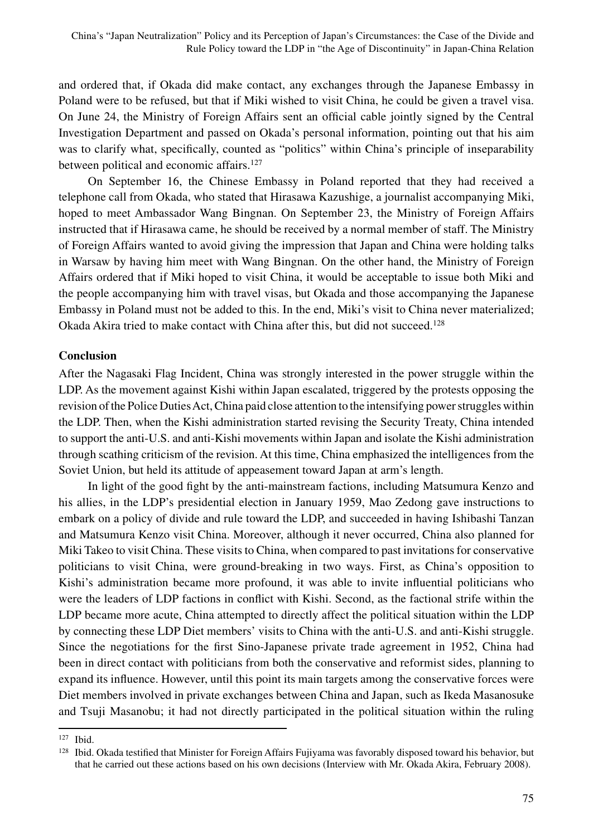and ordered that, if Okada did make contact, any exchanges through the Japanese Embassy in Poland were to be refused, but that if Miki wished to visit China, he could be given a travel visa. On June 24, the Ministry of Foreign Affairs sent an official cable jointly signed by the Central Investigation Department and passed on Okada's personal information, pointing out that his aim was to clarify what, specifically, counted as "politics" within China's principle of inseparability between political and economic affairs.<sup>127</sup>

On September 16, the Chinese Embassy in Poland reported that they had received a telephone call from Okada, who stated that Hirasawa Kazushige, a journalist accompanying Miki, hoped to meet Ambassador Wang Bingnan. On September 23, the Ministry of Foreign Affairs instructed that if Hirasawa came, he should be received by a normal member of staff. The Ministry of Foreign Affairs wanted to avoid giving the impression that Japan and China were holding talks in Warsaw by having him meet with Wang Bingnan. On the other hand, the Ministry of Foreign Affairs ordered that if Miki hoped to visit China, it would be acceptable to issue both Miki and the people accompanying him with travel visas, but Okada and those accompanying the Japanese Embassy in Poland must not be added to this. In the end, Miki's visit to China never materialized; Okada Akira tried to make contact with China after this, but did not succeed.<sup>128</sup>

## **Conclusion**

After the Nagasaki Flag Incident, China was strongly interested in the power struggle within the LDP. As the movement against Kishi within Japan escalated, triggered by the protests opposing the revision of the Police Duties Act, China paid close attention to the intensifying power struggles within the LDP. Then, when the Kishi administration started revising the Security Treaty, China intended to support the anti-U.S. and anti-Kishi movements within Japan and isolate the Kishi administration through scathing criticism of the revision. At this time, China emphasized the intelligences from the Soviet Union, but held its attitude of appeasement toward Japan at arm's length.

In light of the good fight by the anti-mainstream factions, including Matsumura Kenzo and his allies, in the LDP's presidential election in January 1959, Mao Zedong gave instructions to embark on a policy of divide and rule toward the LDP, and succeeded in having Ishibashi Tanzan and Matsumura Kenzo visit China. Moreover, although it never occurred, China also planned for Miki Takeo to visit China. These visits to China, when compared to past invitations for conservative politicians to visit China, were ground-breaking in two ways. First, as China's opposition to Kishi's administration became more profound, it was able to invite influential politicians who were the leaders of LDP factions in conflict with Kishi. Second, as the factional strife within the LDP became more acute, China attempted to directly affect the political situation within the LDP by connecting these LDP Diet members' visits to China with the anti-U.S. and anti-Kishi struggle. Since the negotiations for the first Sino-Japanese private trade agreement in 1952, China had been in direct contact with politicians from both the conservative and reformist sides, planning to expand its influence. However, until this point its main targets among the conservative forces were Diet members involved in private exchanges between China and Japan, such as Ikeda Masanosuke and Tsuji Masanobu; it had not directly participated in the political situation within the ruling

<sup>127</sup> Ibid.

<sup>&</sup>lt;sup>128</sup> Ibid. Okada testified that Minister for Foreign Affairs Fujiyama was favorably disposed toward his behavior, but that he carried out these actions based on his own decisions (Interview with Mr. Okada Akira, February 2008).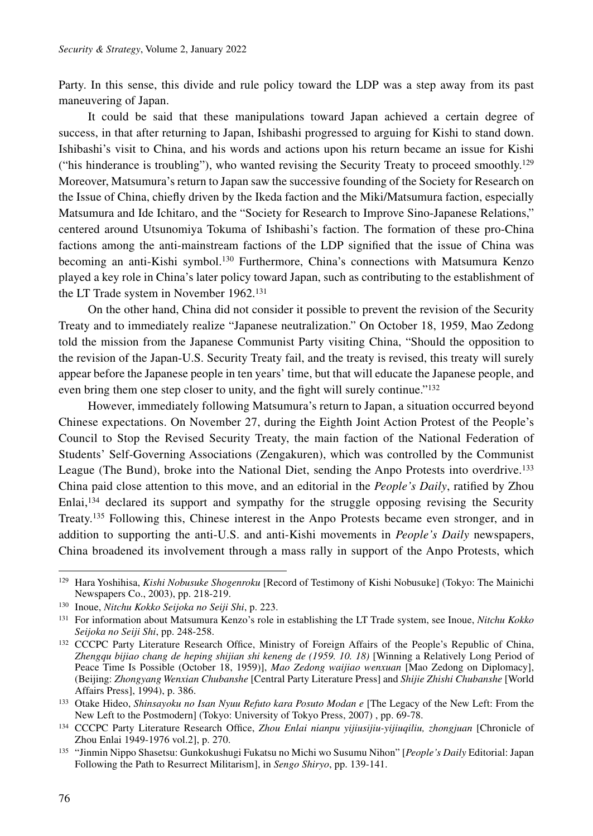Party. In this sense, this divide and rule policy toward the LDP was a step away from its past maneuvering of Japan.

It could be said that these manipulations toward Japan achieved a certain degree of success, in that after returning to Japan, Ishibashi progressed to arguing for Kishi to stand down. Ishibashi's visit to China, and his words and actions upon his return became an issue for Kishi ("his hinderance is troubling"), who wanted revising the Security Treaty to proceed smoothly.<sup>129</sup> Moreover, Matsumura's return to Japan saw the successive founding of the Society for Research on the Issue of China, chiefly driven by the Ikeda faction and the Miki/Matsumura faction, especially Matsumura and Ide Ichitaro, and the "Society for Research to Improve Sino-Japanese Relations," centered around Utsunomiya Tokuma of Ishibashi's faction. The formation of these pro-China factions among the anti-mainstream factions of the LDP signified that the issue of China was becoming an anti-Kishi symbol.130 Furthermore, China's connections with Matsumura Kenzo played a key role in China's later policy toward Japan, such as contributing to the establishment of the LT Trade system in November 1962.131

On the other hand, China did not consider it possible to prevent the revision of the Security Treaty and to immediately realize "Japanese neutralization." On October 18, 1959, Mao Zedong told the mission from the Japanese Communist Party visiting China, "Should the opposition to the revision of the Japan-U.S. Security Treaty fail, and the treaty is revised, this treaty will surely appear before the Japanese people in ten years' time, but that will educate the Japanese people, and even bring them one step closer to unity, and the fight will surely continue."132

However, immediately following Matsumura's return to Japan, a situation occurred beyond Chinese expectations. On November 27, during the Eighth Joint Action Protest of the People's Council to Stop the Revised Security Treaty, the main faction of the National Federation of Students' Self-Governing Associations (Zengakuren), which was controlled by the Communist League (The Bund), broke into the National Diet, sending the Anpo Protests into overdrive.133 China paid close attention to this move, and an editorial in the *People's Daily*, ratified by Zhou Enlai,<sup>134</sup> declared its support and sympathy for the struggle opposing revising the Security Treaty.135 Following this, Chinese interest in the Anpo Protests became even stronger, and in addition to supporting the anti-U.S. and anti-Kishi movements in *People's Daily* newspapers, China broadened its involvement through a mass rally in support of the Anpo Protests, which

<sup>129</sup> Hara Yoshihisa, *Kishi Nobusuke Shogenroku* [Record of Testimony of Kishi Nobusuke] (Tokyo: The Mainichi Newspapers Co., 2003), pp. 218-219.

<sup>130</sup> Inoue, *Nitchu Kokko Seijoka no Seiji Shi*, p. 223.

<sup>131</sup> For information about Matsumura Kenzo's role in establishing the LT Trade system, see Inoue, *Nitchu Kokko Seijoka no Seiji Shi*, pp. 248-258.

<sup>&</sup>lt;sup>132</sup> CCCPC Party Literature Research Office, Ministry of Foreign Affairs of the People's Republic of China, *Zhengqu bijiao chang de heping shijian shi keneng de (1959. 10. 18)* [Winning a Relatively Long Period of Peace Time Is Possible (October 18, 1959)], *Mao Zedong waijiao wenxuan* [Mao Zedong on Diplomacy], (Beijing: *Zhongyang Wenxian Chubanshe* [Central Party Literature Press] and *Shijie Zhishi Chubanshe* [World Affairs Press], 1994), p. 386.

<sup>133</sup> Otake Hideo, *Shinsayoku no Isan Nyuu Refuto kara Posuto Modan e* [The Legacy of the New Left: From the New Left to the Postmodern] (Tokyo: University of Tokyo Press, 2007) , pp. 69-78.

<sup>134</sup> CCCPC Party Literature Research Office, *Zhou Enlai nianpu yijiusijiu-yijiuqiliu, zhongjuan* [Chronicle of Zhou Enlai 1949-1976 vol.2], p. 270.

<sup>135</sup> "Jinmin Nippo Shasetsu: Gunkokushugi Fukatsu no Michi wo Susumu Nihon" [*People's Daily* Editorial: Japan Following the Path to Resurrect Militarism], in *Sengo Shiryo*, pp. 139-141.